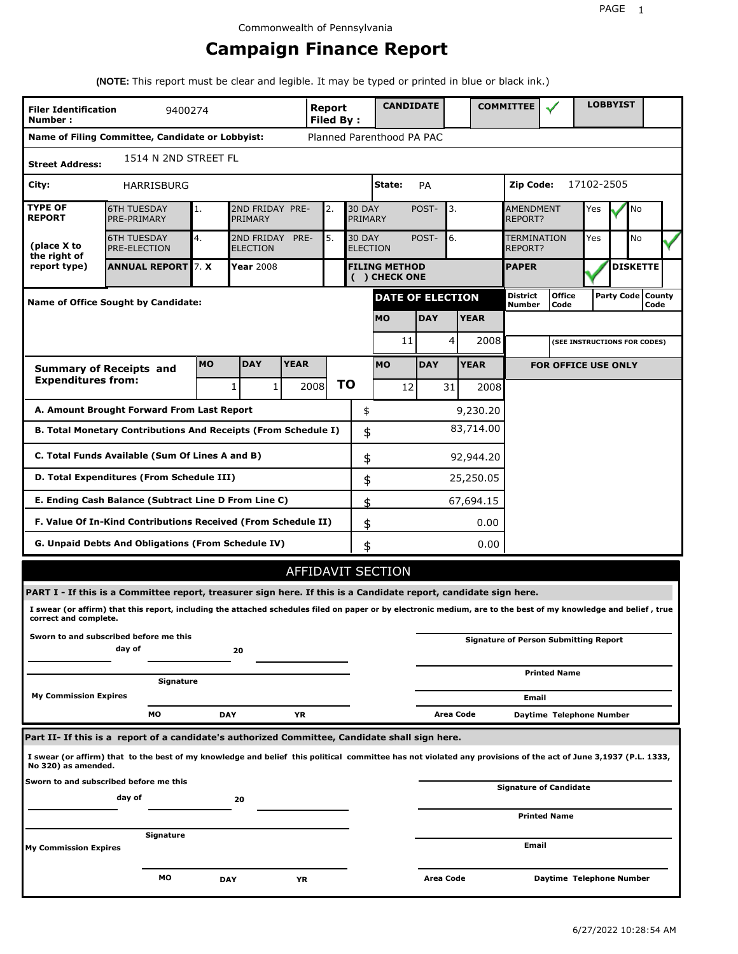# **Campaign Finance Report**

**(NOTE:** This report must be clear and legible. It may be typed or printed in blue or black ink.)

| <b>Filer Identification</b><br>Number: | 9400274                                                                                                                                                         |            |                               |             | Report<br><b>Filed By:</b> |    |                                  | <b>CANDIDATE</b>                      |            |           |             | <b>COMMITTEE</b>                   |                                              |            | <b>LOBBYIST</b> |                             |  |
|----------------------------------------|-----------------------------------------------------------------------------------------------------------------------------------------------------------------|------------|-------------------------------|-------------|----------------------------|----|----------------------------------|---------------------------------------|------------|-----------|-------------|------------------------------------|----------------------------------------------|------------|-----------------|-----------------------------|--|
|                                        | Name of Filing Committee, Candidate or Lobbyist:                                                                                                                |            |                               |             |                            |    |                                  | Planned Parenthood PA PAC             |            |           |             |                                    |                                              |            |                 |                             |  |
| <b>Street Address:</b>                 | 1514 N 2ND STREET FL                                                                                                                                            |            |                               |             |                            |    |                                  |                                       |            |           |             |                                    |                                              |            |                 |                             |  |
| City:                                  | <b>HARRISBURG</b>                                                                                                                                               |            |                               |             |                            |    |                                  | State:                                | PA         |           |             | Zip Code:                          |                                              | 17102-2505 |                 |                             |  |
| <b>TYPE OF</b><br><b>REPORT</b>        | <b>6TH TUESDAY</b><br>PRE-PRIMARY                                                                                                                               | 1.         | 2ND FRIDAY PRE-<br>PRIMARY    |             | 2.                         |    | <b>30 DAY</b><br>PRIMARY         |                                       | POST-      | 3.        |             | <b>AMENDMENT</b><br><b>REPORT?</b> |                                              | Yes        |                 | No                          |  |
| (place X to<br>the right of            | <b>6TH TUESDAY</b><br>PRE-ELECTION                                                                                                                              | 4.         | 2ND FRIDAY<br><b>ELECTION</b> | PRE-        | 5.                         |    | <b>30 DAY</b><br><b>ELECTION</b> |                                       | POST-      | 6.        |             | <b>TERMINATION</b><br>REPORT?      |                                              | Yes        |                 | No                          |  |
| report type)                           | <b>ANNUAL REPORT 7. X</b>                                                                                                                                       |            | <b>Year 2008</b>              |             |                            |    |                                  | <b>FILING METHOD</b><br>( ) CHECK ONE |            |           |             | <b>PAPER</b>                       |                                              |            |                 | <b>DISKETTE</b>             |  |
|                                        | <b>Name of Office Sought by Candidate:</b>                                                                                                                      |            |                               |             |                            |    |                                  | DATE OF ELECTION                      |            |           |             | District<br>Number                 | <b>Office</b><br>Code                        |            |                 | Party Code   County<br>Code |  |
|                                        |                                                                                                                                                                 |            |                               |             |                            |    |                                  | <b>MO</b>                             | <b>DAY</b> |           | <b>YEAR</b> |                                    |                                              |            |                 |                             |  |
|                                        |                                                                                                                                                                 |            |                               |             |                            |    |                                  | 11                                    |            | 4         | 2008        |                                    | (SEE INSTRUCTIONS FOR CODES)                 |            |                 |                             |  |
|                                        | <b>Summary of Receipts and</b>                                                                                                                                  | <b>MO</b>  | <b>DAY</b>                    | <b>YEAR</b> |                            |    |                                  | <b>MO</b>                             | <b>DAY</b> |           | <b>YEAR</b> |                                    | <b>FOR OFFICE USE ONLY</b>                   |            |                 |                             |  |
| <b>Expenditures from:</b>              |                                                                                                                                                                 |            | $\mathbf{1}$<br>1             |             | 2008                       | ΤO |                                  | 12                                    |            | 31        | 2008        |                                    |                                              |            |                 |                             |  |
|                                        | A. Amount Brought Forward From Last Report                                                                                                                      |            |                               |             |                            |    | \$                               |                                       |            |           | 9,230.20    |                                    |                                              |            |                 |                             |  |
|                                        | B. Total Monetary Contributions And Receipts (From Schedule I)                                                                                                  |            |                               |             |                            |    | \$                               |                                       |            |           | 83,714.00   |                                    |                                              |            |                 |                             |  |
|                                        | C. Total Funds Available (Sum Of Lines A and B)                                                                                                                 |            |                               |             |                            |    | \$                               |                                       |            |           | 92,944.20   |                                    |                                              |            |                 |                             |  |
|                                        | D. Total Expenditures (From Schedule III)                                                                                                                       |            |                               |             |                            |    | \$                               |                                       |            |           | 25,250.05   |                                    |                                              |            |                 |                             |  |
|                                        | E. Ending Cash Balance (Subtract Line D From Line C)                                                                                                            |            |                               |             |                            |    | \$                               |                                       |            |           | 67,694.15   |                                    |                                              |            |                 |                             |  |
|                                        | F. Value Of In-Kind Contributions Received (From Schedule II)                                                                                                   |            |                               |             |                            |    | \$                               |                                       |            |           | 0.00        |                                    |                                              |            |                 |                             |  |
|                                        | G. Unpaid Debts And Obligations (From Schedule IV)                                                                                                              |            |                               |             |                            |    | \$                               |                                       |            |           | 0.00        |                                    |                                              |            |                 |                             |  |
|                                        |                                                                                                                                                                 |            |                               |             |                            |    |                                  | AFFIDAVIT SECTION                     |            |           |             |                                    |                                              |            |                 |                             |  |
|                                        | PART I - If this is a Committee report, treasurer sign here. If this is a Candidate report, candidate sign here.                                                |            |                               |             |                            |    |                                  |                                       |            |           |             |                                    |                                              |            |                 |                             |  |
| correct and complete.                  | I swear (or affirm) that this report, including the attached schedules filed on paper or by electronic medium, are to the best of my knowledge and belief, true |            |                               |             |                            |    |                                  |                                       |            |           |             |                                    |                                              |            |                 |                             |  |
|                                        | Sworn to and subscribed before me this<br>day of                                                                                                                |            | 20                            |             |                            |    |                                  |                                       |            |           |             |                                    | <b>Signature of Person Submitting Report</b> |            |                 |                             |  |
|                                        | Signature                                                                                                                                                       |            |                               |             |                            |    |                                  |                                       |            |           |             |                                    | <b>Printed Name</b>                          |            |                 |                             |  |
| <b>My Commission Expires</b>           |                                                                                                                                                                 |            |                               |             |                            |    |                                  |                                       |            |           |             | Email                              |                                              |            |                 |                             |  |
|                                        | МO                                                                                                                                                              | <b>DAY</b> |                               | YR          |                            |    |                                  |                                       |            | Area Code |             |                                    | Daytime Telephone Number                     |            |                 |                             |  |
|                                        | Part II- If this is a report of a candidate's authorized Committee, Candidate shall sign here.                                                                  |            |                               |             |                            |    |                                  |                                       |            |           |             |                                    |                                              |            |                 |                             |  |
| No 320) as amended.                    | I swear (or affirm) that to the best of my knowledge and belief this political committee has not violated any provisions of the act of June 3,1937 (P.L. 1333,  |            |                               |             |                            |    |                                  |                                       |            |           |             |                                    |                                              |            |                 |                             |  |
|                                        | Sworn to and subscribed before me this                                                                                                                          |            |                               |             |                            |    |                                  |                                       |            |           |             |                                    | Signature of Candidate                       |            |                 |                             |  |
|                                        | day of                                                                                                                                                          |            | 20                            |             |                            |    |                                  |                                       |            |           |             |                                    | <b>Printed Name</b>                          |            |                 |                             |  |
|                                        | Signature                                                                                                                                                       |            |                               |             |                            |    |                                  |                                       |            |           |             |                                    |                                              |            |                 |                             |  |
| <b>My Commission Expires</b>           |                                                                                                                                                                 |            |                               |             |                            |    |                                  |                                       |            |           |             | Email                              |                                              |            |                 |                             |  |
|                                        | мо                                                                                                                                                              | <b>DAY</b> |                               | ΥR          |                            |    |                                  |                                       | Area Code  |           |             |                                    | Daytime Telephone Number                     |            |                 |                             |  |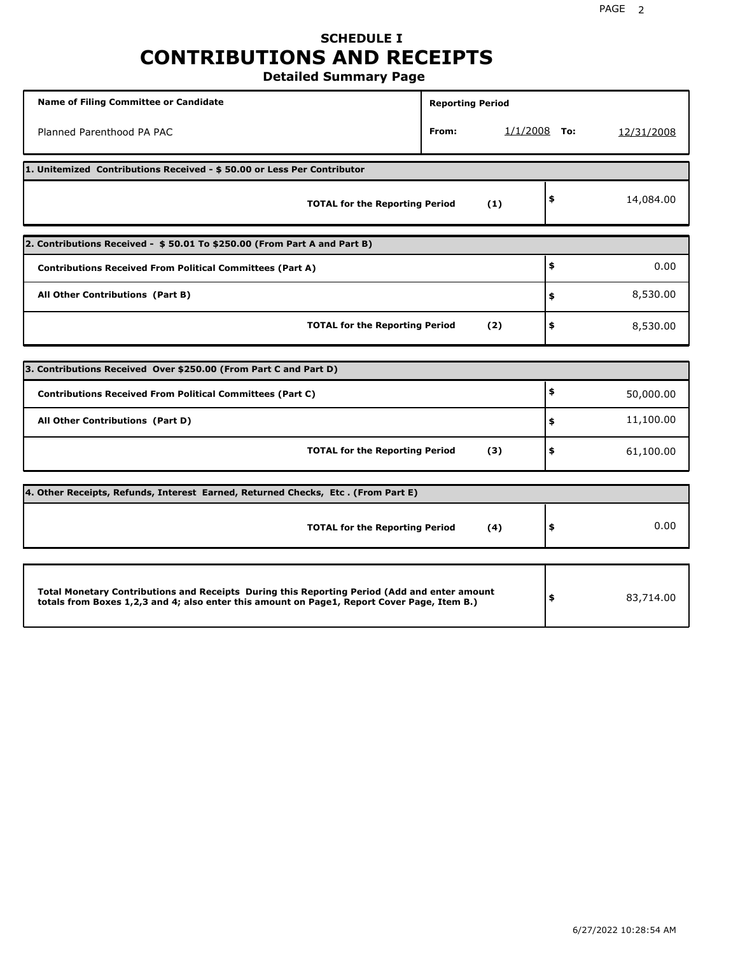## **SCHEDULE I CONTRIBUTIONS AND RECEIPTS Detailed Summary Page**

**Name of Filing Committee or Candidate Reporting Period Reporting Period** Planned Parenthood PA PAC **From:** 1/1/2008 **To:** 12/31/2008 **1. Unitemized Contributions Received - \$ 50.00 or Less Per Contributor TOTAL for the Reporting Period (1) \$** 14,084.00 **2. Contributions Received - \$ 50.01 To \$250.00 (From Part A and Part B) TOTAL for the Reporting Period (2) Contributions Received From Political Committees (Part A) All Other Contributions (Part B) \$ \$ \$** 0.00 8,530.00 8,530.00 **3. Contributions Received Over \$250.00 (From Part C and Part D) TOTAL for the Reporting Period (3) Contributions Received From Political Committees (Part C) All Other Contributions (Part D) \$ \$ \$** 50,000.00 11,100.00 61,100.00 **4. Other Receipts, Refunds, Interest Earned, Returned Checks, Etc . (From Part E) TOTAL for the Reporting Period (4) \$** 0.00 **Total Monetary Contributions and Receipts During this Reporting Period (Add and enter amount totals from Boxes 1,2,3 and 4; also enter this amount on Page1, Report Cover Page, Item B.) \$** 83,714.00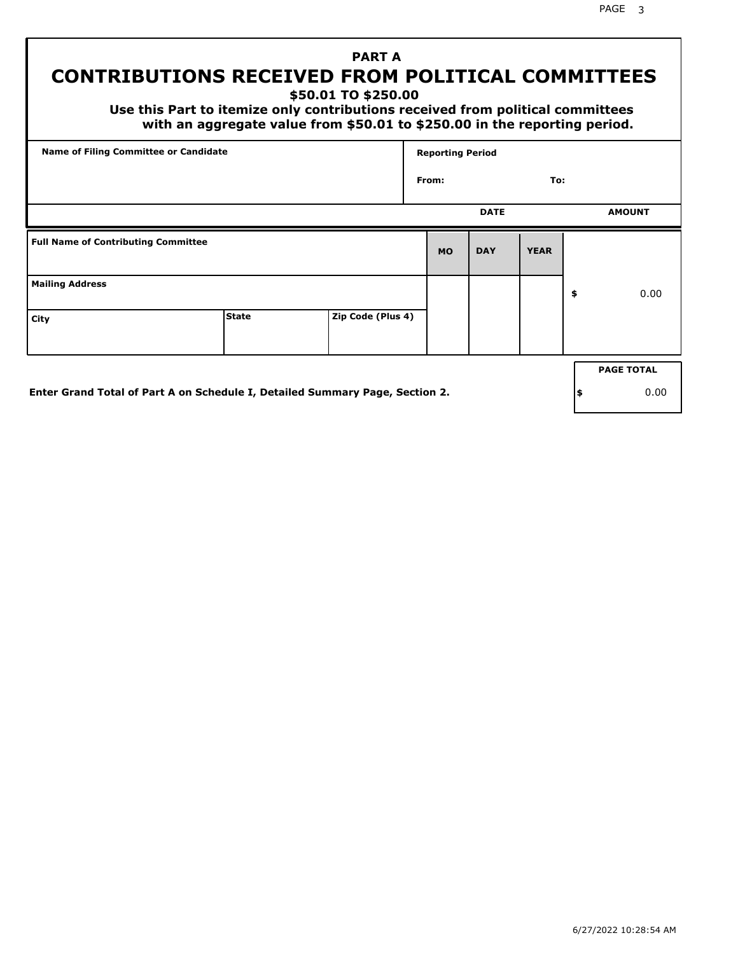PAGE 3

# **PART A CONTRIBUTIONS RECEIVED FROM POLITICAL COMMITTEES**

**\$50.01 TO \$250.00**

 **Use this Part to itemize only contributions received from political committees with an aggregate value from \$50.01 to \$250.00 in the reporting period.**

| Name of Filing Committee or Candidate      |                                                                              |                   | <b>Reporting Period</b> |             |             |     |                   |
|--------------------------------------------|------------------------------------------------------------------------------|-------------------|-------------------------|-------------|-------------|-----|-------------------|
|                                            |                                                                              |                   | From:                   |             | To:         |     |                   |
|                                            |                                                                              |                   |                         | <b>DATE</b> |             |     | <b>AMOUNT</b>     |
| <b>Full Name of Contributing Committee</b> |                                                                              |                   | <b>MO</b>               | <b>DAY</b>  | <b>YEAR</b> |     |                   |
| <b>Mailing Address</b>                     |                                                                              |                   |                         |             |             | \$  | 0.00              |
| City                                       | <b>State</b>                                                                 | Zip Code (Plus 4) |                         |             |             |     |                   |
|                                            |                                                                              |                   |                         |             |             |     | <b>PAGE TOTAL</b> |
|                                            |                                                                              |                   |                         |             |             |     |                   |
|                                            | Enter Grand Total of Part A on Schedule I, Detailed Summary Page, Section 2. |                   |                         |             |             | ∣\$ | 0.00              |

**Enter Grand Total of Part A on Schedule I, Detailed Summary Page, Section 2.**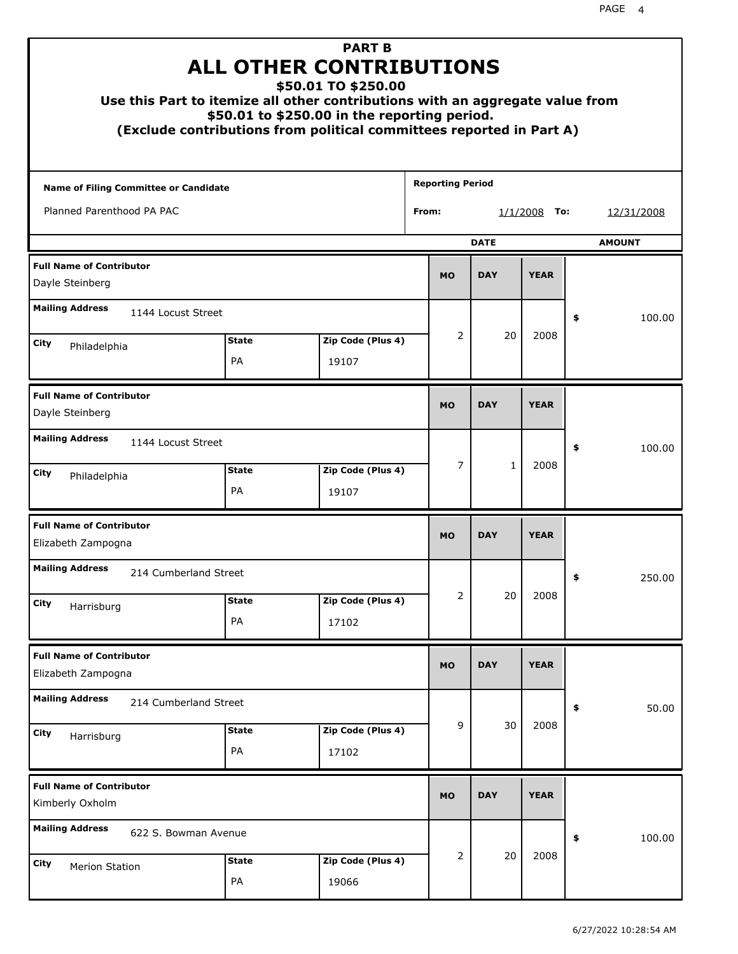|                                                       |                    | <b>PART B</b><br><b>ALL OTHER CONTRIBUTIONS</b><br>\$50.01 TO \$250.00<br>Use this Part to itemize all other contributions with an aggregate value from<br>\$50.01 to \$250.00 in the reporting period.<br>(Exclude contributions from political committees reported in Part A) |                         |              |                 |    |               |
|-------------------------------------------------------|--------------------|---------------------------------------------------------------------------------------------------------------------------------------------------------------------------------------------------------------------------------------------------------------------------------|-------------------------|--------------|-----------------|----|---------------|
| Name of Filing Committee or Candidate                 |                    |                                                                                                                                                                                                                                                                                 | <b>Reporting Period</b> |              |                 |    |               |
| Planned Parenthood PA PAC                             |                    |                                                                                                                                                                                                                                                                                 | From:                   |              | 1/1/2008<br>To: |    | 12/31/2008    |
|                                                       |                    |                                                                                                                                                                                                                                                                                 |                         | <b>DATE</b>  |                 |    | <b>AMOUNT</b> |
| <b>Full Name of Contributor</b><br>Dayle Steinberg    |                    |                                                                                                                                                                                                                                                                                 | <b>MO</b>               | <b>DAY</b>   | <b>YEAR</b>     |    |               |
| <b>Mailing Address</b><br>1144 Locust Street          |                    |                                                                                                                                                                                                                                                                                 |                         |              |                 | \$ | 100.00        |
| City<br>Philadelphia                                  | <b>State</b>       | Zip Code (Plus 4)                                                                                                                                                                                                                                                               | 2                       | 20           | 2008            |    |               |
|                                                       | PA                 | 19107                                                                                                                                                                                                                                                                           |                         |              |                 |    |               |
| <b>Full Name of Contributor</b><br>Dayle Steinberg    |                    |                                                                                                                                                                                                                                                                                 | <b>MO</b>               | <b>DAY</b>   | <b>YEAR</b>     |    |               |
| <b>Mailing Address</b><br>1144 Locust Street          |                    |                                                                                                                                                                                                                                                                                 |                         |              |                 | \$ | 100.00        |
| City<br>Philadelphia                                  | <b>State</b><br>PA | Zip Code (Plus 4)<br>19107                                                                                                                                                                                                                                                      | 7                       | $\mathbf{1}$ | 2008            |    |               |
| <b>Full Name of Contributor</b><br>Elizabeth Zampogna |                    |                                                                                                                                                                                                                                                                                 | <b>MO</b>               | <b>DAY</b>   | <b>YEAR</b>     |    |               |
| <b>Mailing Address</b><br>214 Cumberland Street       |                    |                                                                                                                                                                                                                                                                                 |                         |              |                 | ÷, | 250.00        |
| <b>City</b><br>Harrisburg                             | <b>State</b>       | Zip Code (Plus 4)                                                                                                                                                                                                                                                               | 2                       | 20           | 2008            |    |               |
|                                                       | PA                 | 17102                                                                                                                                                                                                                                                                           |                         |              |                 |    |               |
| <b>Full Name of Contributor</b><br>Elizabeth Zampogna |                    |                                                                                                                                                                                                                                                                                 | <b>MO</b>               | <b>DAY</b>   | <b>YEAR</b>     |    |               |
| <b>Mailing Address</b><br>214 Cumberland Street       |                    |                                                                                                                                                                                                                                                                                 |                         |              |                 | \$ | 50.00         |
| City<br>Harrisburg                                    | <b>State</b><br>PA | Zip Code (Plus 4)<br>17102                                                                                                                                                                                                                                                      | 9                       | 30           | 2008            |    |               |
| <b>Full Name of Contributor</b><br>Kimberly Oxholm    |                    |                                                                                                                                                                                                                                                                                 | <b>MO</b>               | <b>DAY</b>   | <b>YEAR</b>     |    |               |
| <b>Mailing Address</b><br>622 S. Bowman Avenue        |                    |                                                                                                                                                                                                                                                                                 |                         |              |                 | \$ | 100.00        |
| City<br>Merion Station                                | <b>State</b><br>PA | Zip Code (Plus 4)<br>19066                                                                                                                                                                                                                                                      | 2                       | 20           | 2008            |    |               |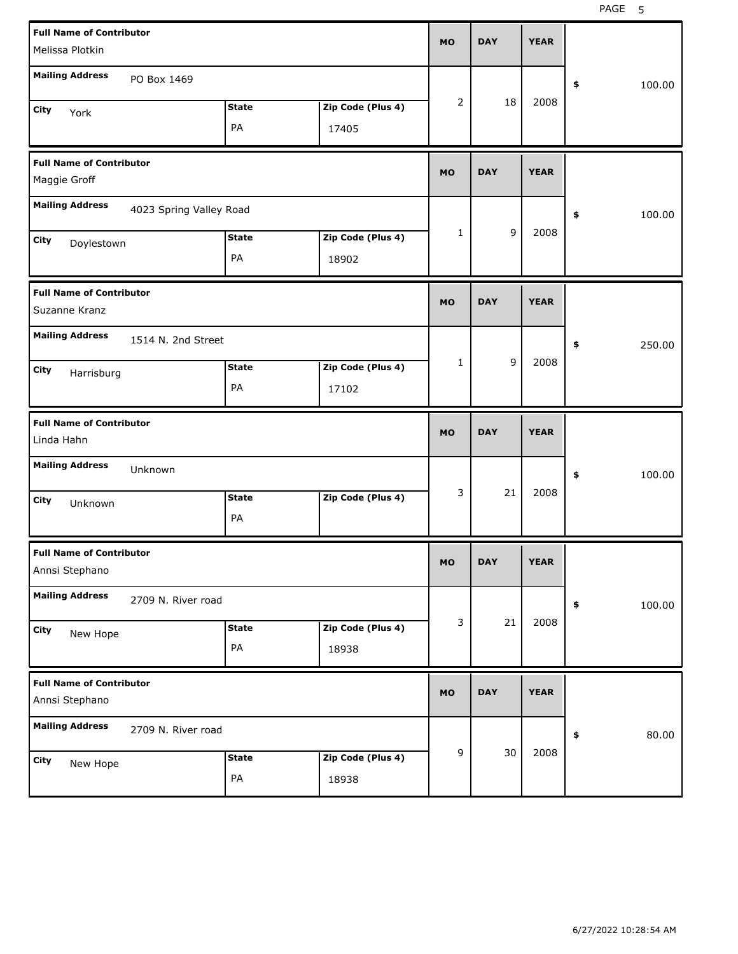PAGE 5

| <b>Full Name of Contributor</b><br>Melissa Plotkin |                         |                    |                            | <b>MO</b>      | <b>DAY</b> | <b>YEAR</b> |              |        |
|----------------------------------------------------|-------------------------|--------------------|----------------------------|----------------|------------|-------------|--------------|--------|
| <b>Mailing Address</b>                             | PO Box 1469             |                    |                            |                |            |             | \$           | 100.00 |
| City<br>York                                       |                         | <b>State</b><br>PA | Zip Code (Plus 4)<br>17405 | $\overline{2}$ | 18         | 2008        |              |        |
| <b>Full Name of Contributor</b><br>Maggie Groff    |                         |                    |                            | <b>MO</b>      | <b>DAY</b> | <b>YEAR</b> |              |        |
| <b>Mailing Address</b>                             | 4023 Spring Valley Road |                    |                            |                |            |             | \$<br>100.00 |        |
| City<br>Doylestown                                 |                         | <b>State</b><br>PA | Zip Code (Plus 4)<br>18902 | $\mathbf{1}$   | 9          | 2008        |              |        |
| <b>Full Name of Contributor</b><br>Suzanne Kranz   |                         |                    |                            | <b>MO</b>      | <b>DAY</b> | <b>YEAR</b> |              |        |
| <b>Mailing Address</b>                             | 1514 N. 2nd Street      |                    |                            |                |            |             | \$           | 250.00 |
| City<br>Harrisburg                                 |                         | <b>State</b><br>PA | Zip Code (Plus 4)<br>17102 | 1              | 9          | 2008        |              |        |
|                                                    |                         |                    |                            |                |            |             |              |        |
| <b>Full Name of Contributor</b><br>Linda Hahn      |                         |                    |                            | <b>MO</b>      | <b>DAY</b> | <b>YEAR</b> |              |        |
| <b>Mailing Address</b>                             | Unknown                 |                    |                            |                |            |             | \$           | 100.00 |
| City<br>Unknown                                    |                         | <b>State</b><br>PA | Zip Code (Plus 4)          | 3              | 21         | 2008        |              |        |
| <b>Full Name of Contributor</b><br>Annsi Stephano  |                         |                    |                            | <b>MO</b>      | DAY        | <b>YEAR</b> |              |        |
| <b>Mailing Address</b>                             | 2709 N. River road      |                    |                            |                |            |             | \$           | 100.00 |
| City<br>New Hope                                   |                         | <b>State</b><br>PA | Zip Code (Plus 4)<br>18938 | 3              | 21         | 2008        |              |        |
| <b>Full Name of Contributor</b><br>Annsi Stephano  |                         |                    |                            | <b>MO</b>      | <b>DAY</b> | <b>YEAR</b> |              |        |
| <b>Mailing Address</b>                             | 2709 N. River road      |                    |                            | 9              | 30         | 2008        | \$           | 80.00  |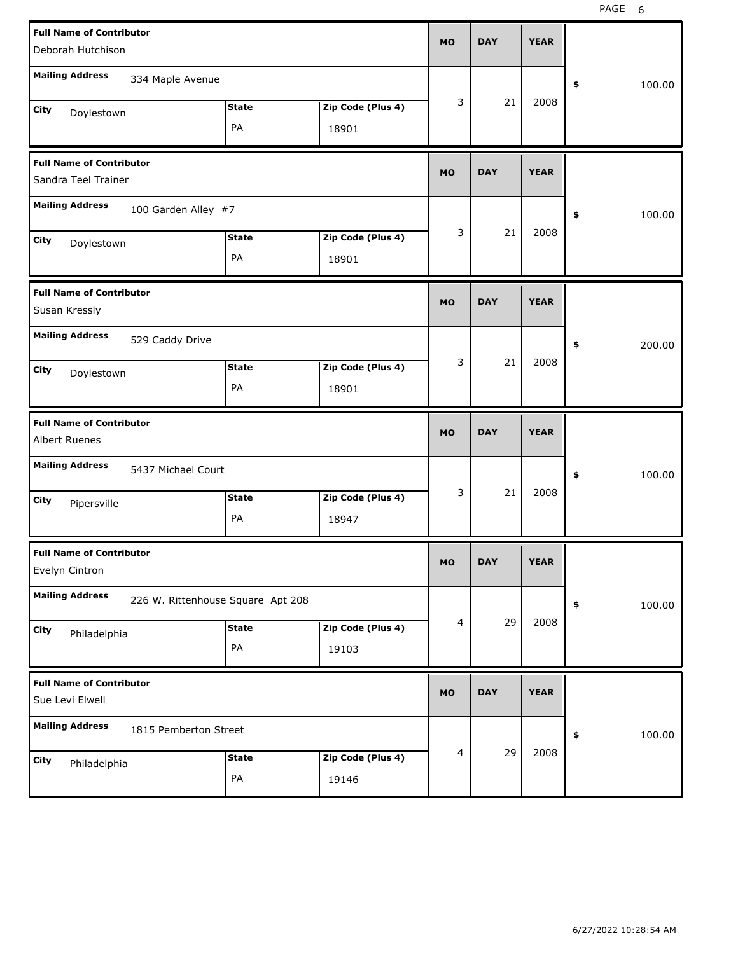| <b>Full Name of Contributor</b><br>Deborah Hutchison    |                                   |                    |                            | <b>MO</b> | <b>DAY</b> | <b>YEAR</b> |              |
|---------------------------------------------------------|-----------------------------------|--------------------|----------------------------|-----------|------------|-------------|--------------|
| <b>Mailing Address</b>                                  | 334 Maple Avenue                  |                    |                            |           |            |             | \$<br>100.00 |
|                                                         |                                   | <b>State</b>       | Zip Code (Plus 4)          | 3         | 21         | 2008        |              |
| City<br>Doylestown                                      |                                   | PA                 | 18901                      |           |            |             |              |
| <b>Full Name of Contributor</b><br>Sandra Teel Trainer  |                                   |                    |                            | <b>MO</b> | <b>DAY</b> | <b>YEAR</b> |              |
| <b>Mailing Address</b>                                  | 100 Garden Alley #7               |                    |                            |           |            |             | \$<br>100.00 |
| City<br>Doylestown                                      |                                   | <b>State</b><br>PA | Zip Code (Plus 4)<br>18901 | 3         | 21         | 2008        |              |
| <b>Full Name of Contributor</b><br>Susan Kressly        |                                   |                    |                            | <b>MO</b> | <b>DAY</b> | <b>YEAR</b> |              |
| <b>Mailing Address</b>                                  | 529 Caddy Drive                   |                    |                            |           |            |             | \$<br>200.00 |
| City<br>Doylestown                                      |                                   | <b>State</b><br>PA | Zip Code (Plus 4)<br>18901 | 3         | 21         | 2008        |              |
|                                                         |                                   |                    |                            |           |            |             |              |
| <b>Full Name of Contributor</b><br><b>Albert Ruenes</b> |                                   |                    |                            | <b>MO</b> | <b>DAY</b> | <b>YEAR</b> |              |
| <b>Mailing Address</b>                                  | 5437 Michael Court                |                    |                            |           |            |             | \$<br>100.00 |
| City<br>Pipersville                                     |                                   | <b>State</b><br>PA | Zip Code (Plus 4)<br>18947 | 3         | 21         | 2008        |              |
| <b>Full Name of Contributor</b><br>Evelyn Cintron       |                                   |                    |                            | MU        | <b>DAY</b> | <b>YEAR</b> |              |
| <b>Mailing Address</b>                                  | 226 W. Rittenhouse Square Apt 208 |                    |                            |           |            |             | 100.00<br>\$ |
| City<br>Philadelphia                                    |                                   | <b>State</b><br>PA | Zip Code (Plus 4)<br>19103 | 4         | 29         | 2008        |              |
| <b>Full Name of Contributor</b><br>Sue Levi Elwell      |                                   |                    |                            | <b>MO</b> | <b>DAY</b> | <b>YEAR</b> |              |
| <b>Mailing Address</b>                                  | 1815 Pemberton Street             |                    |                            |           | 29         | 2008        | \$<br>100.00 |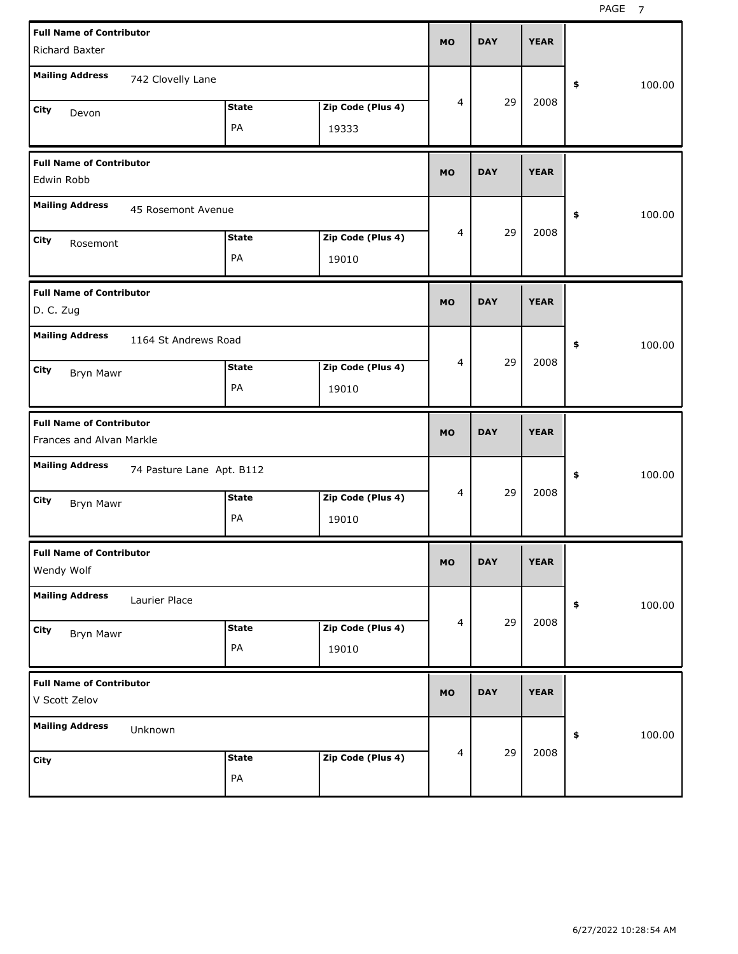| <b>Full Name of Contributor</b><br>Richard Baxter   |              |                   | <b>MO</b> | <b>DAY</b> | <b>YEAR</b> |              |
|-----------------------------------------------------|--------------|-------------------|-----------|------------|-------------|--------------|
|                                                     |              |                   |           |            |             |              |
| <b>Mailing Address</b><br>742 Clovelly Lane         |              |                   |           |            |             | \$<br>100.00 |
| City<br>Devon                                       | <b>State</b> | Zip Code (Plus 4) | 4         | 29         | 2008        |              |
|                                                     | PA           | 19333             |           |            |             |              |
| <b>Full Name of Contributor</b>                     |              |                   | <b>MO</b> | <b>DAY</b> | <b>YEAR</b> |              |
| Edwin Robb                                          |              |                   |           |            |             |              |
| <b>Mailing Address</b><br>45 Rosemont Avenue        |              |                   |           |            |             | \$<br>100.00 |
| City<br>Rosemont                                    | <b>State</b> | Zip Code (Plus 4) | 4         | 29         | 2008        |              |
|                                                     | PA           | 19010             |           |            |             |              |
| <b>Full Name of Contributor</b>                     |              |                   |           |            |             |              |
| D. C. Zug                                           |              |                   | <b>MO</b> | <b>DAY</b> | <b>YEAR</b> |              |
| <b>Mailing Address</b><br>1164 St Andrews Road      |              |                   |           |            |             | \$<br>100.00 |
| City<br><b>Bryn Mawr</b>                            | <b>State</b> | Zip Code (Plus 4) | 4         | 29         | 2008        |              |
|                                                     | PA           | 19010             |           |            |             |              |
|                                                     |              |                   |           |            |             |              |
| <b>Full Name of Contributor</b>                     |              |                   |           |            |             |              |
| Frances and Alvan Markle                            |              |                   | <b>MO</b> | <b>DAY</b> | <b>YEAR</b> |              |
| <b>Mailing Address</b><br>74 Pasture Lane Apt. B112 |              |                   |           |            |             | \$<br>100.00 |
| City                                                | <b>State</b> | Zip Code (Plus 4) | 4         | 29         | 2008        |              |
| <b>Bryn Mawr</b>                                    | PA           | 19010             |           |            |             |              |
| <b>Full Name of Contributor</b>                     |              |                   |           |            |             |              |
| Wendy Wolf                                          |              |                   | <b>MO</b> | <b>DAY</b> | <b>YEAR</b> |              |
| <b>Mailing Address</b><br>Laurier Place             |              |                   |           |            |             | \$<br>100.00 |
| City                                                | <b>State</b> | Zip Code (Plus 4) | 4         | 29         | 2008        |              |
| <b>Bryn Mawr</b>                                    | PA           | 19010             |           |            |             |              |
| <b>Full Name of Contributor</b>                     |              |                   |           |            |             |              |
| V Scott Zelov                                       |              |                   | <b>MO</b> | <b>DAY</b> | <b>YEAR</b> |              |
| <b>Mailing Address</b><br>Unknown                   |              |                   |           |            |             | \$<br>100.00 |
| City                                                | <b>State</b> | Zip Code (Plus 4) | 4         | 29         | 2008        |              |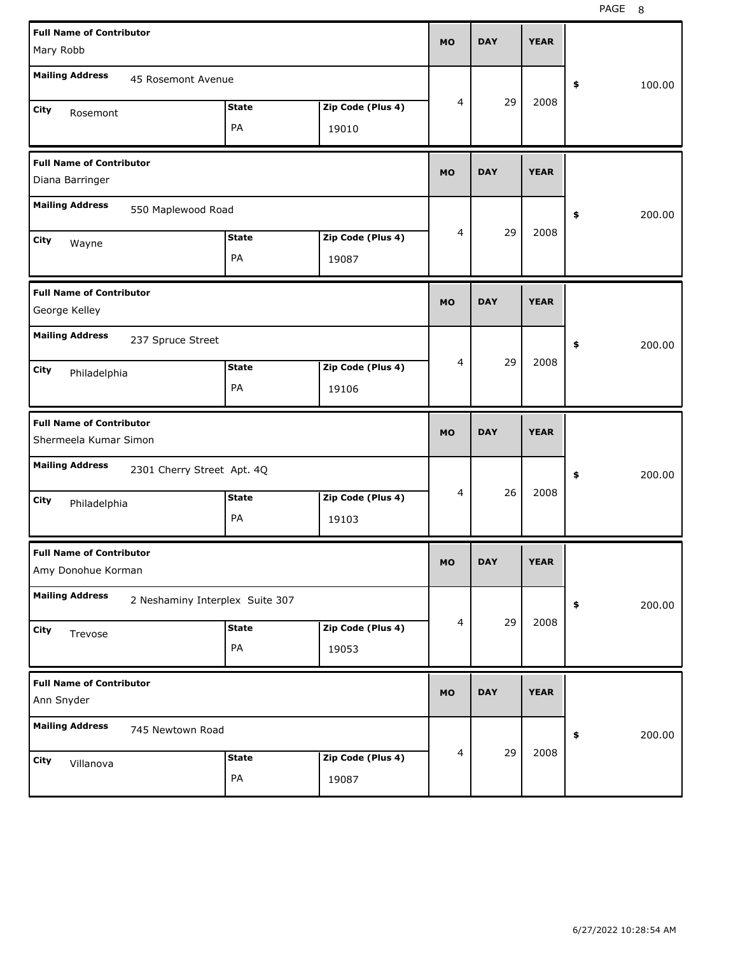| <b>Full Name of Contributor</b><br>Mary Robb              |              |                   | MO             | <b>DAY</b> | <b>YEAR</b> |              |
|-----------------------------------------------------------|--------------|-------------------|----------------|------------|-------------|--------------|
| <b>Mailing Address</b><br>45 Rosemont Avenue              |              |                   |                |            |             | \$<br>100.00 |
| City<br>Rosemont                                          | <b>State</b> | Zip Code (Plus 4) | 4              | 29         | 2008        |              |
|                                                           | PA           | 19010             |                |            |             |              |
| <b>Full Name of Contributor</b><br>Diana Barringer        |              |                   | <b>MO</b>      | <b>DAY</b> | <b>YEAR</b> |              |
| <b>Mailing Address</b><br>550 Maplewood Road              |              |                   |                |            |             | \$<br>200.00 |
| City<br>Wayne                                             | <b>State</b> | Zip Code (Plus 4) | 4              | 29         | 2008        |              |
|                                                           | PA           | 19087             |                |            |             |              |
| <b>Full Name of Contributor</b><br>George Kelley          |              |                   | <b>MO</b>      | <b>DAY</b> | <b>YEAR</b> |              |
| <b>Mailing Address</b><br>237 Spruce Street               |              |                   |                |            |             | 200.00<br>\$ |
| City<br>Philadelphia                                      | <b>State</b> | Zip Code (Plus 4) | 4              | 29         | 2008        |              |
|                                                           | PA           | 19106             |                |            |             |              |
|                                                           |              |                   |                |            |             |              |
| <b>Full Name of Contributor</b><br>Shermeela Kumar Simon  |              |                   | MO             | <b>DAY</b> | <b>YEAR</b> |              |
| <b>Mailing Address</b><br>2301 Cherry Street Apt. 4Q      |              |                   |                |            |             | 200.00<br>\$ |
| City                                                      | <b>State</b> | Zip Code (Plus 4) | 4              | 26         | 2008        |              |
| Philadelphia                                              | PA           | 19103             |                |            |             |              |
| <b>Full Name of Contributor</b><br>Amy Donohue Korman     |              |                   | MU.            | DAY        | YEAR        |              |
| <b>Mailing Address</b><br>2 Neshaminy Interplex Suite 307 |              |                   |                |            |             | 200.00<br>\$ |
| City                                                      | <b>State</b> | Zip Code (Plus 4) | $\overline{4}$ | 29         | 2008        |              |
| Trevose                                                   | PA           | 19053             |                |            |             |              |
| <b>Full Name of Contributor</b><br>Ann Snyder             |              |                   | MO             | <b>DAY</b> | <b>YEAR</b> |              |
| <b>Mailing Address</b><br>745 Newtown Road                |              |                   |                |            |             | 200.00<br>\$ |
| City<br>Villanova                                         | <b>State</b> | Zip Code (Plus 4) | $\overline{4}$ | 29         | 2008        |              |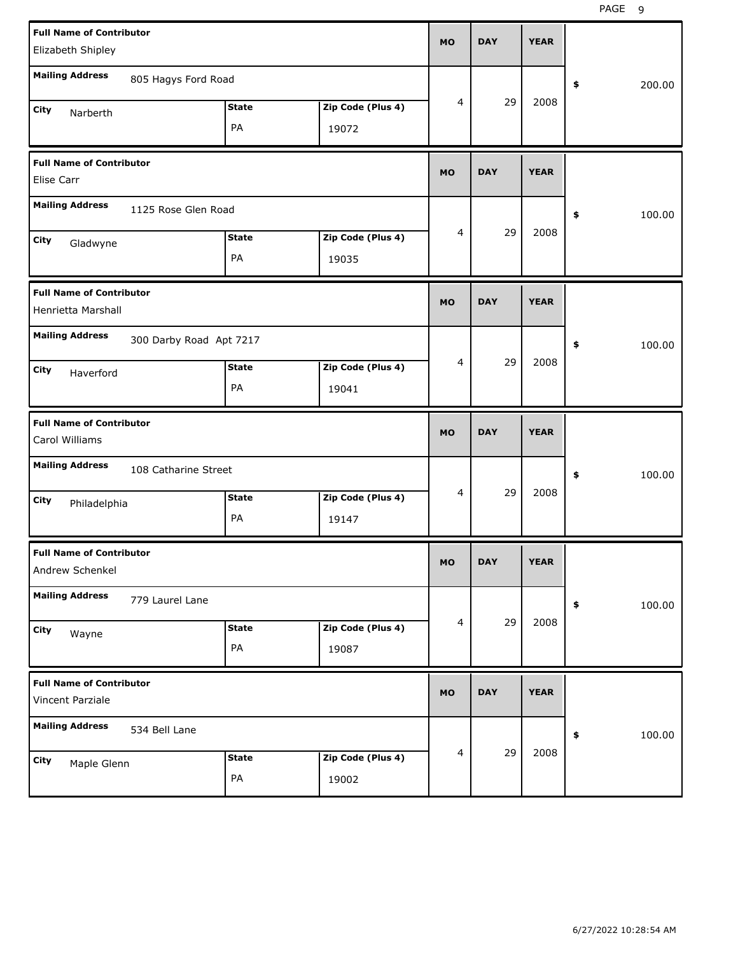| <b>Full Name of Contributor</b><br>Elizabeth Shipley  |                         |                    |                            | <b>MO</b> | <b>DAY</b> | <b>YEAR</b> |              |
|-------------------------------------------------------|-------------------------|--------------------|----------------------------|-----------|------------|-------------|--------------|
| <b>Mailing Address</b>                                | 805 Hagys Ford Road     |                    |                            |           |            |             | \$<br>200.00 |
| City<br>Narberth                                      |                         | <b>State</b><br>PA | Zip Code (Plus 4)<br>19072 | 4         | 29         | 2008        |              |
| <b>Full Name of Contributor</b><br><b>Elise Carr</b>  |                         |                    |                            | <b>MO</b> | <b>DAY</b> | <b>YEAR</b> |              |
| <b>Mailing Address</b>                                | 1125 Rose Glen Road     |                    |                            |           |            |             | \$<br>100.00 |
| City<br>Gladwyne                                      |                         | <b>State</b><br>PA | Zip Code (Plus 4)<br>19035 | 4         | 29         | 2008        |              |
| <b>Full Name of Contributor</b><br>Henrietta Marshall |                         |                    |                            | <b>MO</b> | <b>DAY</b> | <b>YEAR</b> |              |
| <b>Mailing Address</b>                                | 300 Darby Road Apt 7217 | <b>State</b>       | Zip Code (Plus 4)          | 4         | 29         | 2008        | \$<br>100.00 |
| City<br>Haverford                                     |                         | PA                 | 19041                      |           |            |             |              |
|                                                       |                         |                    |                            |           |            |             |              |
| <b>Full Name of Contributor</b><br>Carol Williams     |                         |                    |                            | <b>MO</b> | <b>DAY</b> | <b>YEAR</b> |              |
| <b>Mailing Address</b>                                | 108 Catharine Street    |                    |                            |           |            |             | \$<br>100.00 |
| City<br>Philadelphia                                  |                         | <b>State</b><br>PA | Zip Code (Plus 4)<br>19147 | 4         | 29         | 2008        |              |
| <b>Full Name of Contributor</b><br>Andrew Schenkel    |                         |                    |                            | MO        | <b>DAY</b> | <b>YEAR</b> |              |
| <b>Mailing Address</b>                                | 779 Laurel Lane         |                    |                            |           |            |             | 100.00<br>\$ |
| City<br>Wayne                                         |                         | <b>State</b><br>PA | Zip Code (Plus 4)<br>19087 | 4         | 29         | 2008        |              |
| <b>Full Name of Contributor</b><br>Vincent Parziale   |                         |                    |                            | <b>MO</b> | <b>DAY</b> | <b>YEAR</b> |              |
| <b>Mailing Address</b>                                | 534 Bell Lane           |                    |                            | 4         | 29         | 2008        | 100.00<br>\$ |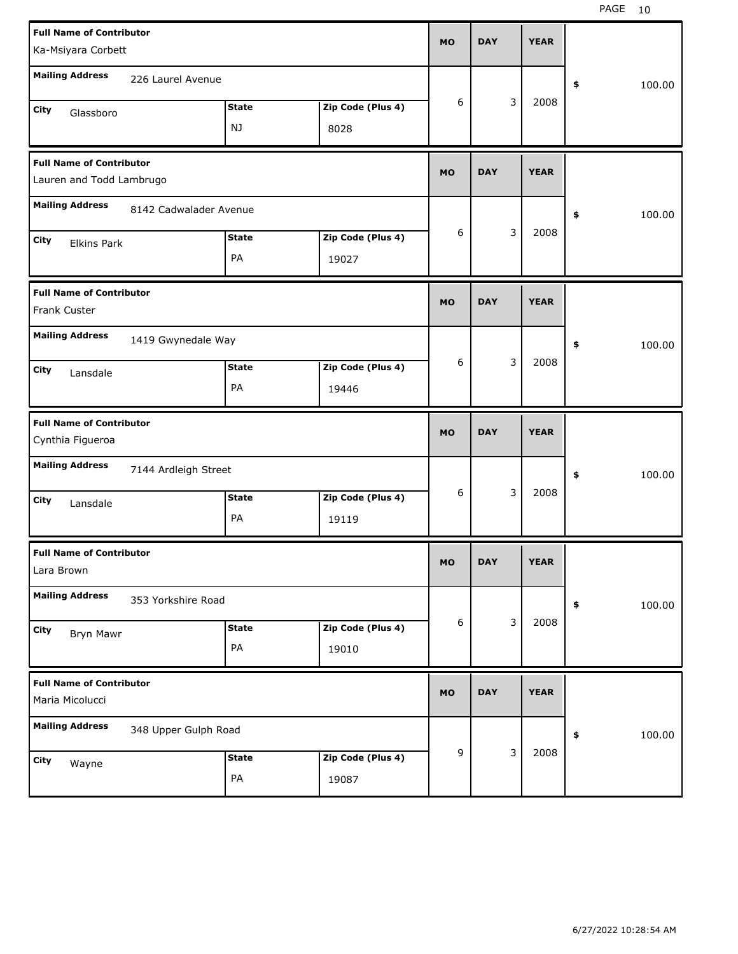| <b>Full Name of Contributor</b>                  |              |                   | <b>MO</b> | <b>DAY</b> |   | <b>YEAR</b> |              |
|--------------------------------------------------|--------------|-------------------|-----------|------------|---|-------------|--------------|
| Ka-Msiyara Corbett                               |              |                   |           |            |   |             |              |
| <b>Mailing Address</b><br>226 Laurel Avenue      |              |                   |           |            |   |             | \$<br>100.00 |
| City<br>Glassboro                                | <b>State</b> | Zip Code (Plus 4) | 6         |            | 3 | 2008        |              |
|                                                  | NJ           | 8028              |           |            |   |             |              |
| <b>Full Name of Contributor</b>                  |              |                   | <b>MO</b> | <b>DAY</b> |   | <b>YEAR</b> |              |
| Lauren and Todd Lambrugo                         |              |                   |           |            |   |             |              |
| <b>Mailing Address</b><br>8142 Cadwalader Avenue |              |                   |           |            |   |             | \$<br>100.00 |
| City<br><b>Elkins Park</b>                       | <b>State</b> | Zip Code (Plus 4) | 6         |            | 3 | 2008        |              |
|                                                  | PA           | 19027             |           |            |   |             |              |
| <b>Full Name of Contributor</b>                  |              |                   |           |            |   |             |              |
| Frank Custer                                     |              |                   | <b>MO</b> | <b>DAY</b> |   | <b>YEAR</b> |              |
| <b>Mailing Address</b><br>1419 Gwynedale Way     |              |                   |           |            |   |             | \$<br>100.00 |
| City<br>Lansdale                                 | <b>State</b> | Zip Code (Plus 4) | 6         |            | 3 | 2008        |              |
|                                                  | PA           | 19446             |           |            |   |             |              |
|                                                  |              |                   |           |            |   |             |              |
| <b>Full Name of Contributor</b>                  |              |                   |           |            |   |             |              |
| Cynthia Figueroa                                 |              |                   | <b>MO</b> | <b>DAY</b> |   | <b>YEAR</b> |              |
| <b>Mailing Address</b><br>7144 Ardleigh Street   |              |                   |           |            |   |             | \$<br>100.00 |
| City<br>Lansdale                                 | <b>State</b> | Zip Code (Plus 4) | 6         |            | 3 | 2008        |              |
|                                                  | PA           | 19119             |           |            |   |             |              |
| <b>Full Name of Contributor</b>                  |              |                   |           |            |   |             |              |
| Lara Brown                                       |              |                   | МO        | <b>DAY</b> |   | <b>YEAR</b> |              |
| <b>Mailing Address</b><br>353 Yorkshire Road     |              |                   |           |            |   |             | \$<br>100.00 |
| City<br>Bryn Mawr                                | <b>State</b> | Zip Code (Plus 4) | 6         |            | 3 | 2008        |              |
|                                                  | PA           | 19010             |           |            |   |             |              |
| <b>Full Name of Contributor</b>                  |              |                   |           |            |   |             |              |
| Maria Micolucci                                  |              |                   | <b>MO</b> | <b>DAY</b> |   | <b>YEAR</b> |              |
| <b>Mailing Address</b><br>348 Upper Gulph Road   |              |                   |           |            |   |             | \$<br>100.00 |
| City<br>Wayne                                    | <b>State</b> | Zip Code (Plus 4) | 9         |            | 3 | 2008        |              |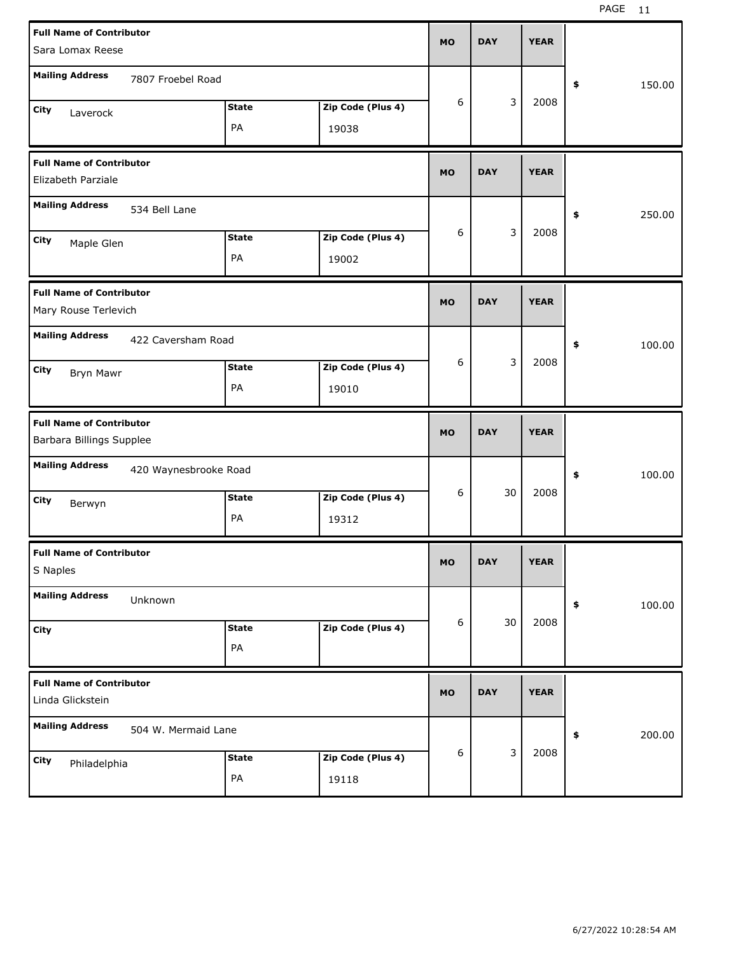| <b>Full Name of Contributor</b>                             |              |                   |           |            |             |              |        |
|-------------------------------------------------------------|--------------|-------------------|-----------|------------|-------------|--------------|--------|
| Sara Lomax Reese                                            |              |                   | <b>MO</b> | <b>DAY</b> | <b>YEAR</b> |              |        |
| <b>Mailing Address</b><br>7807 Froebel Road                 |              |                   |           |            |             | \$           | 150.00 |
| City<br>Laverock                                            | <b>State</b> | Zip Code (Plus 4) | 6         | 3          | 2008        |              |        |
|                                                             | PA           | 19038             |           |            |             |              |        |
| <b>Full Name of Contributor</b><br>Elizabeth Parziale       |              |                   | <b>MO</b> | <b>DAY</b> | <b>YEAR</b> |              |        |
| <b>Mailing Address</b><br>534 Bell Lane                     |              |                   |           |            |             | \$<br>250.00 |        |
| City<br>Maple Glen                                          | <b>State</b> | Zip Code (Plus 4) | 6         | 3          | 2008        |              |        |
|                                                             | PA           | 19002             |           |            |             |              |        |
| <b>Full Name of Contributor</b><br>Mary Rouse Terlevich     |              |                   | <b>MO</b> | <b>DAY</b> | <b>YEAR</b> |              |        |
| <b>Mailing Address</b><br>422 Caversham Road                |              |                   |           |            |             | \$           | 100.00 |
| City<br>Bryn Mawr                                           | <b>State</b> | Zip Code (Plus 4) | 6         | 3          | 2008        |              |        |
|                                                             | PA           | 19010             |           |            |             |              |        |
|                                                             |              |                   |           |            |             |              |        |
| <b>Full Name of Contributor</b><br>Barbara Billings Supplee |              |                   | <b>MO</b> | <b>DAY</b> | <b>YEAR</b> |              |        |
| <b>Mailing Address</b><br>420 Waynesbrooke Road             |              |                   |           |            |             | \$           | 100.00 |
| City                                                        | <b>State</b> | Zip Code (Plus 4) | 6         | 30         | 2008        |              |        |
| Berwyn                                                      | PA           | 19312             |           |            |             |              |        |
| <b>Full Name of Contributor</b><br>S Naples                 |              |                   | МO        | <b>DAY</b> | <b>YEAR</b> |              |        |
| <b>Mailing Address</b><br>Unknown                           |              |                   |           |            |             | \$           | 100.00 |
| City                                                        | <b>State</b> | Zip Code (Plus 4) | 6         | 30         | 2008        |              |        |
|                                                             | PA           |                   |           |            |             |              |        |
| <b>Full Name of Contributor</b><br>Linda Glickstein         |              |                   | <b>MO</b> | <b>DAY</b> | <b>YEAR</b> |              |        |
| <b>Mailing Address</b><br>504 W. Mermaid Lane               |              |                   |           |            |             | \$           | 200.00 |
| City<br>Philadelphia                                        | <b>State</b> | Zip Code (Plus 4) | 6         | 3          | 2008        |              |        |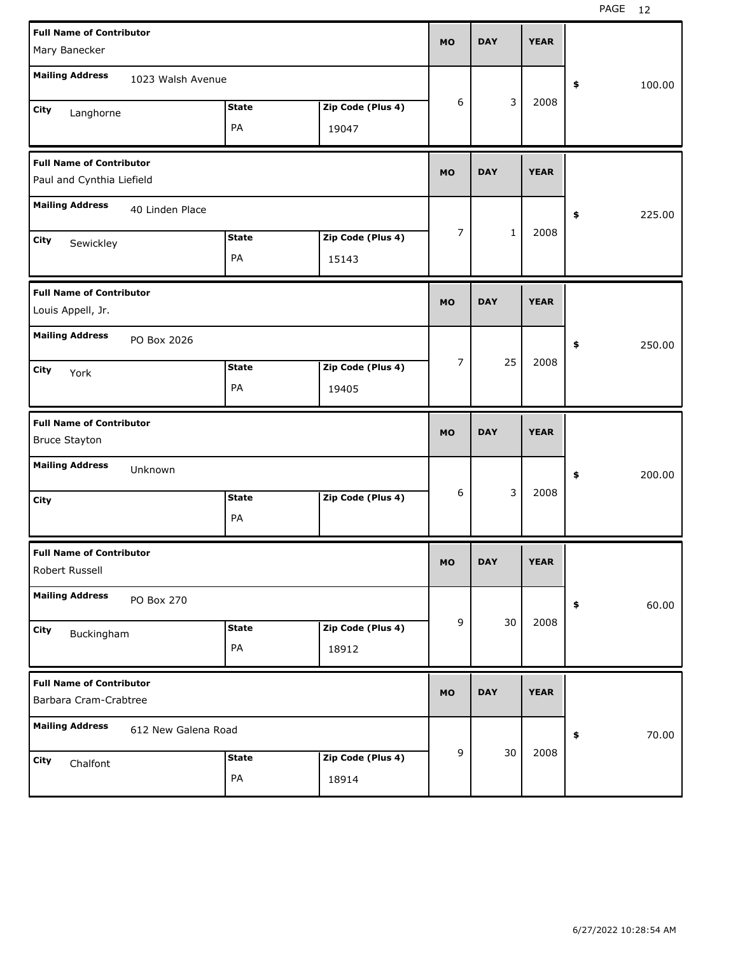| <b>Full Name of Contributor</b> |                     |              |                   | <b>MO</b>      | <b>DAY</b>   | <b>YEAR</b> |              |
|---------------------------------|---------------------|--------------|-------------------|----------------|--------------|-------------|--------------|
| Mary Banecker                   |                     |              |                   |                |              |             |              |
| <b>Mailing Address</b>          | 1023 Walsh Avenue   |              |                   |                |              |             | \$<br>100.00 |
| City<br>Langhorne               |                     | <b>State</b> | Zip Code (Plus 4) | 6              | 3            | 2008        |              |
|                                 |                     | PA           | 19047             |                |              |             |              |
| <b>Full Name of Contributor</b> |                     |              |                   | <b>MO</b>      | <b>DAY</b>   | <b>YEAR</b> |              |
| Paul and Cynthia Liefield       |                     |              |                   |                |              |             |              |
| <b>Mailing Address</b>          | 40 Linden Place     |              |                   |                |              |             | \$<br>225.00 |
| City<br>Sewickley               |                     | <b>State</b> | Zip Code (Plus 4) | 7              | $\mathbf{1}$ | 2008        |              |
|                                 |                     | PA           | 15143             |                |              |             |              |
| <b>Full Name of Contributor</b> |                     |              |                   | <b>MO</b>      | <b>DAY</b>   | <b>YEAR</b> |              |
| Louis Appell, Jr.               |                     |              |                   |                |              |             |              |
| <b>Mailing Address</b>          | PO Box 2026         |              |                   |                |              |             | \$<br>250.00 |
| City<br>York                    |                     | <b>State</b> | Zip Code (Plus 4) | $\overline{7}$ | 25           | 2008        |              |
|                                 |                     | PA           | 19405             |                |              |             |              |
|                                 |                     |              |                   |                |              |             |              |
| <b>Full Name of Contributor</b> |                     |              |                   | <b>MO</b>      | <b>DAY</b>   | <b>YEAR</b> |              |
| <b>Bruce Stayton</b>            |                     |              |                   |                |              |             |              |
| <b>Mailing Address</b>          | Unknown             |              |                   |                |              |             | \$<br>200.00 |
| City                            |                     | <b>State</b> | Zip Code (Plus 4) | 6              | 3            | 2008        |              |
|                                 |                     | PA           |                   |                |              |             |              |
| <b>Full Name of Contributor</b> |                     |              |                   | <b>MO</b>      | <b>DAY</b>   | <b>YEAR</b> |              |
| Robert Russell                  |                     |              |                   |                |              |             |              |
| <b>Mailing Address</b>          | PO Box 270          |              |                   |                |              |             | \$<br>60.00  |
| City<br>Buckingham              |                     | <b>State</b> | Zip Code (Plus 4) | 9              | 30           | 2008        |              |
|                                 |                     | PA           | 18912             |                |              |             |              |
| <b>Full Name of Contributor</b> |                     |              |                   | <b>MO</b>      | <b>DAY</b>   | <b>YEAR</b> |              |
| Barbara Cram-Crabtree           |                     |              |                   |                |              |             |              |
| <b>Mailing Address</b>          | 612 New Galena Road |              |                   |                |              |             | \$<br>70.00  |
| City<br>Chalfont                |                     | <b>State</b> | Zip Code (Plus 4) | 9              | 30           | 2008        |              |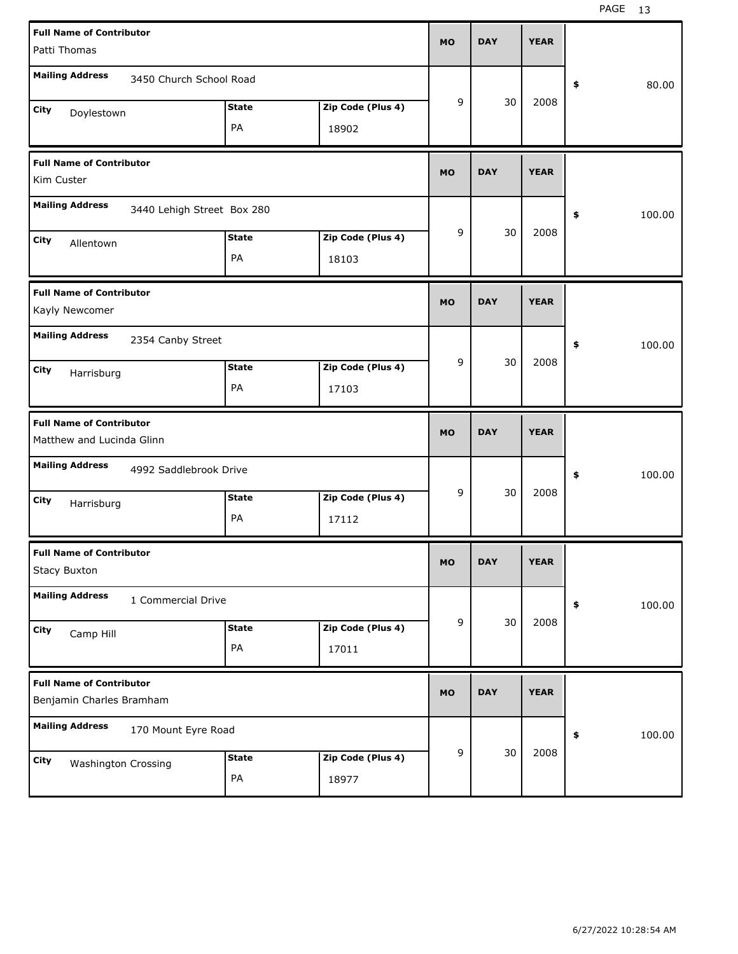| <b>Full Name of Contributor</b>                              |                            |              |                   | <b>MO</b> | <b>DAY</b> | <b>YEAR</b> |              |       |
|--------------------------------------------------------------|----------------------------|--------------|-------------------|-----------|------------|-------------|--------------|-------|
| Patti Thomas                                                 |                            |              |                   |           |            |             |              |       |
| <b>Mailing Address</b>                                       | 3450 Church School Road    |              |                   |           |            |             | \$           | 80.00 |
| City<br>Doylestown                                           |                            | <b>State</b> | Zip Code (Plus 4) | 9         | 30         | 2008        |              |       |
|                                                              |                            | PA           | 18902             |           |            |             |              |       |
| <b>Full Name of Contributor</b><br>Kim Custer                |                            |              |                   | <b>MO</b> | <b>DAY</b> | <b>YEAR</b> |              |       |
| <b>Mailing Address</b>                                       | 3440 Lehigh Street Box 280 |              |                   |           |            |             | 100.00<br>\$ |       |
| <b>City</b><br>Allentown                                     |                            | <b>State</b> | Zip Code (Plus 4) | 9         | 30         | 2008        |              |       |
|                                                              |                            | PA           | 18103             |           |            |             |              |       |
| <b>Full Name of Contributor</b><br>Kayly Newcomer            |                            |              |                   | <b>MO</b> | <b>DAY</b> | <b>YEAR</b> |              |       |
| <b>Mailing Address</b>                                       | 2354 Canby Street          |              |                   |           |            |             | 100.00<br>\$ |       |
| City<br>Harrisburg                                           |                            | <b>State</b> | Zip Code (Plus 4) | 9         | 30         | 2008        |              |       |
|                                                              |                            | PA           | 17103             |           |            |             |              |       |
|                                                              |                            |              |                   |           |            |             |              |       |
| <b>Full Name of Contributor</b><br>Matthew and Lucinda Glinn |                            |              |                   | <b>MO</b> | <b>DAY</b> | <b>YEAR</b> |              |       |
| <b>Mailing Address</b>                                       | 4992 Saddlebrook Drive     |              |                   |           |            |             | 100.00<br>\$ |       |
| City                                                         |                            | <b>State</b> | Zip Code (Plus 4) | 9         | 30         | 2008        |              |       |
| Harrisburg                                                   |                            | PA           | 17112             |           |            |             |              |       |
| <b>Full Name of Contributor</b><br>Stacy Buxton              |                            |              |                   | МO        | <b>DAY</b> | <b>YEAR</b> |              |       |
| <b>Mailing Address</b>                                       | 1 Commercial Drive         |              |                   |           |            |             | \$<br>100.00 |       |
| City                                                         |                            | <b>State</b> | Zip Code (Plus 4) | 9         | 30         | 2008        |              |       |
| Camp Hill                                                    |                            | PA           | 17011             |           |            |             |              |       |
| <b>Full Name of Contributor</b><br>Benjamin Charles Bramham  |                            |              |                   | <b>MO</b> | <b>DAY</b> | <b>YEAR</b> |              |       |
| <b>Mailing Address</b>                                       | 170 Mount Eyre Road        |              |                   |           |            |             | \$<br>100.00 |       |
| City<br>Washington Crossing                                  |                            | <b>State</b> | Zip Code (Plus 4) | 9         | 30         | 2008        |              |       |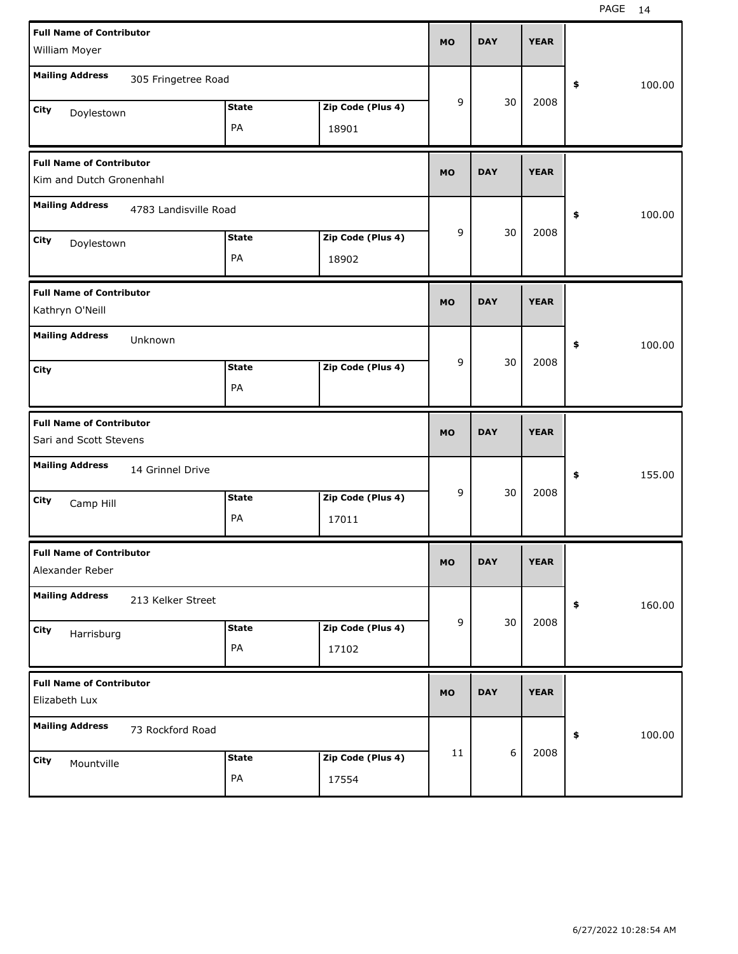| <b>Full Name of Contributor</b><br>William Moyer            |                       |              |                   | <b>MO</b> | <b>DAY</b> | <b>YEAR</b> |              |
|-------------------------------------------------------------|-----------------------|--------------|-------------------|-----------|------------|-------------|--------------|
| <b>Mailing Address</b>                                      |                       |              |                   |           |            |             |              |
|                                                             | 305 Fringetree Road   |              |                   |           |            |             | \$<br>100.00 |
| City<br>Doylestown                                          |                       | <b>State</b> | Zip Code (Plus 4) | 9         | 30         | 2008        |              |
|                                                             |                       | PA           | 18901             |           |            |             |              |
| <b>Full Name of Contributor</b><br>Kim and Dutch Gronenhahl |                       |              |                   | <b>MO</b> | <b>DAY</b> | <b>YEAR</b> |              |
| <b>Mailing Address</b>                                      | 4783 Landisville Road |              |                   |           |            |             | \$<br>100.00 |
| City<br>Doylestown                                          |                       | <b>State</b> | Zip Code (Plus 4) | 9         | 30         | 2008        |              |
|                                                             |                       | PA           | 18902             |           |            |             |              |
| <b>Full Name of Contributor</b><br>Kathryn O'Neill          |                       |              |                   | <b>MO</b> | <b>DAY</b> | <b>YEAR</b> |              |
| <b>Mailing Address</b>                                      | Unknown               |              |                   |           |            |             | \$<br>100.00 |
| City                                                        |                       | <b>State</b> | Zip Code (Plus 4) | 9         | 30         | 2008        |              |
|                                                             |                       | PA           |                   |           |            |             |              |
|                                                             |                       |              |                   |           |            |             |              |
| <b>Full Name of Contributor</b><br>Sari and Scott Stevens   |                       |              |                   | <b>MO</b> | <b>DAY</b> | <b>YEAR</b> |              |
| <b>Mailing Address</b>                                      | 14 Grinnel Drive      |              |                   |           |            |             | \$<br>155.00 |
| City                                                        |                       | <b>State</b> | Zip Code (Plus 4) | 9         | 30         | 2008        |              |
| Camp Hill                                                   |                       | PA           | 17011             |           |            |             |              |
| <b>Full Name of Contributor</b><br>Alexander Reber          |                       |              |                   | МO        | <b>DAY</b> | <b>YEAR</b> |              |
| <b>Mailing Address</b>                                      | 213 Kelker Street     |              |                   |           |            |             | \$<br>160.00 |
| City                                                        |                       | <b>State</b> | Zip Code (Plus 4) | 9         | 30         | 2008        |              |
| Harrisburg                                                  |                       | PA           | 17102             |           |            |             |              |
| <b>Full Name of Contributor</b><br>Elizabeth Lux            |                       |              |                   | <b>MO</b> | <b>DAY</b> | <b>YEAR</b> |              |
| <b>Mailing Address</b>                                      | 73 Rockford Road      |              |                   |           |            |             | \$<br>100.00 |
| City<br>Mountville                                          |                       | <b>State</b> | Zip Code (Plus 4) | 11        | 6          | 2008        |              |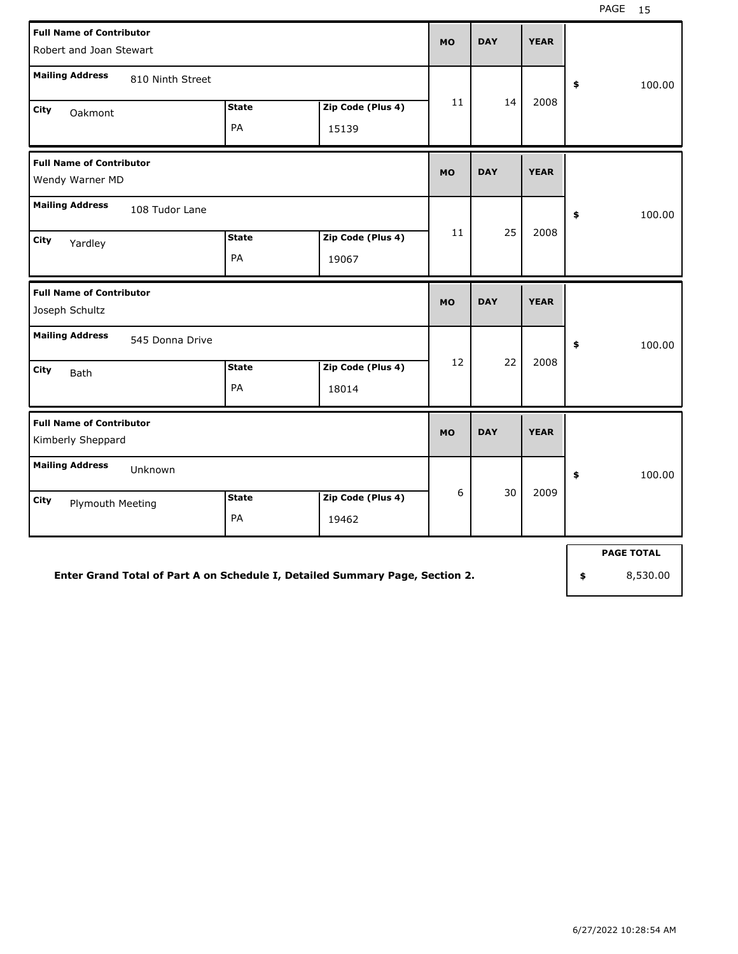|                                                    | <b>Full Name of Contributor</b><br>Robert and Joan Stewart |                    |                            |           |            | <b>YEAR</b> |              |
|----------------------------------------------------|------------------------------------------------------------|--------------------|----------------------------|-----------|------------|-------------|--------------|
| <b>Mailing Address</b>                             | 810 Ninth Street                                           |                    |                            |           |            |             | \$<br>100.00 |
| <b>City</b><br>Oakmont                             |                                                            | <b>State</b><br>PA | Zip Code (Plus 4)<br>15139 | 11        | 14         | 2008        |              |
| <b>Full Name of Contributor</b><br>Wendy Warner MD |                                                            |                    |                            | <b>MO</b> | <b>DAY</b> | <b>YEAR</b> |              |
| <b>Mailing Address</b><br>City<br>Yardley          | 108 Tudor Lane                                             | <b>State</b><br>PA | Zip Code (Plus 4)<br>19067 | 11        | 25         | 2008        | \$<br>100.00 |
| <b>Full Name of Contributor</b><br>Joseph Schultz  |                                                            |                    |                            | <b>MO</b> | <b>DAY</b> | <b>YEAR</b> |              |
| <b>Mailing Address</b>                             | 545 Donna Drive                                            |                    |                            |           |            |             | \$<br>100.00 |
| <b>City</b><br>Bath                                |                                                            | <b>State</b><br>PA | Zip Code (Plus 4)<br>18014 | 12        | 22         | 2008        |              |
| <b>Full Name of Contributor</b>                    |                                                            |                    |                            |           |            |             |              |
| Kimberly Sheppard                                  |                                                            |                    |                            | <b>MO</b> | <b>DAY</b> | <b>YEAR</b> |              |
| <b>Mailing Address</b>                             | Unknown                                                    |                    |                            |           |            |             | \$<br>100.00 |
| City<br><b>Plymouth Meeting</b>                    |                                                            | <b>State</b><br>PA | Zip Code (Plus 4)<br>19462 | 6         | 30         | 2009        |              |

**Enter Grand Total of Part A on Schedule I, Detailed Summary Page, Section 2.**

**PAGE TOTAL**

**\$** 8,530.00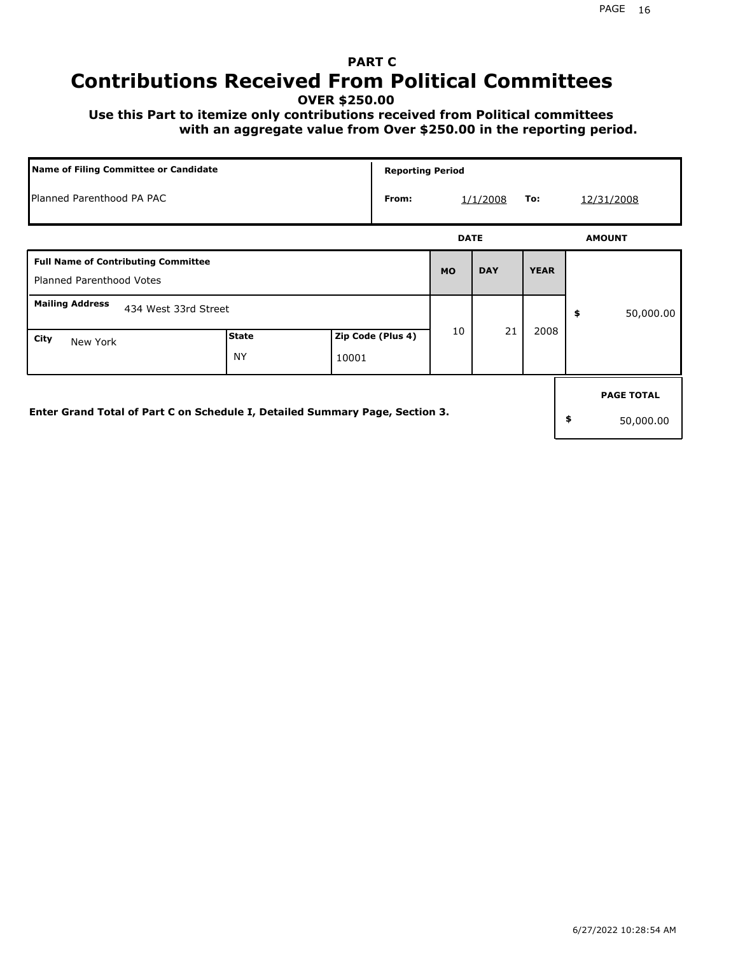# **PART C Contributions Received From Political Committees**

**OVER \$250.00**

 **Use this Part to itemize only contributions received from Political committees with an aggregate value from Over \$250.00 in the reporting period.**

|                                                                               | Name of Filing Committee or Candidate |       |                   |             | <b>Reporting Period</b> |             |    |                                |  |  |  |
|-------------------------------------------------------------------------------|---------------------------------------|-------|-------------------|-------------|-------------------------|-------------|----|--------------------------------|--|--|--|
| Planned Parenthood PA PAC                                                     |                                       |       | From:             |             | 1/1/2008                | To:         |    | 12/31/2008                     |  |  |  |
|                                                                               |                                       |       |                   | <b>DATE</b> |                         |             |    | <b>AMOUNT</b>                  |  |  |  |
| <b>Full Name of Contributing Committee</b><br><b>Planned Parenthood Votes</b> |                                       |       |                   | <b>MO</b>   | <b>DAY</b>              | <b>YEAR</b> |    |                                |  |  |  |
| <b>Mailing Address</b><br>434 West 33rd Street                                |                                       |       |                   |             |                         |             | \$ | 50,000.00                      |  |  |  |
| City<br>New York                                                              | <b>State</b><br><b>NY</b>             | 10001 | Zip Code (Plus 4) | 10          | 21                      | 2008        |    |                                |  |  |  |
| Enter Grand Total of Part C on Schedule I, Detailed Summary Page, Section 3.  |                                       |       |                   |             |                         |             | \$ | <b>PAGE TOTAL</b><br>50,000.00 |  |  |  |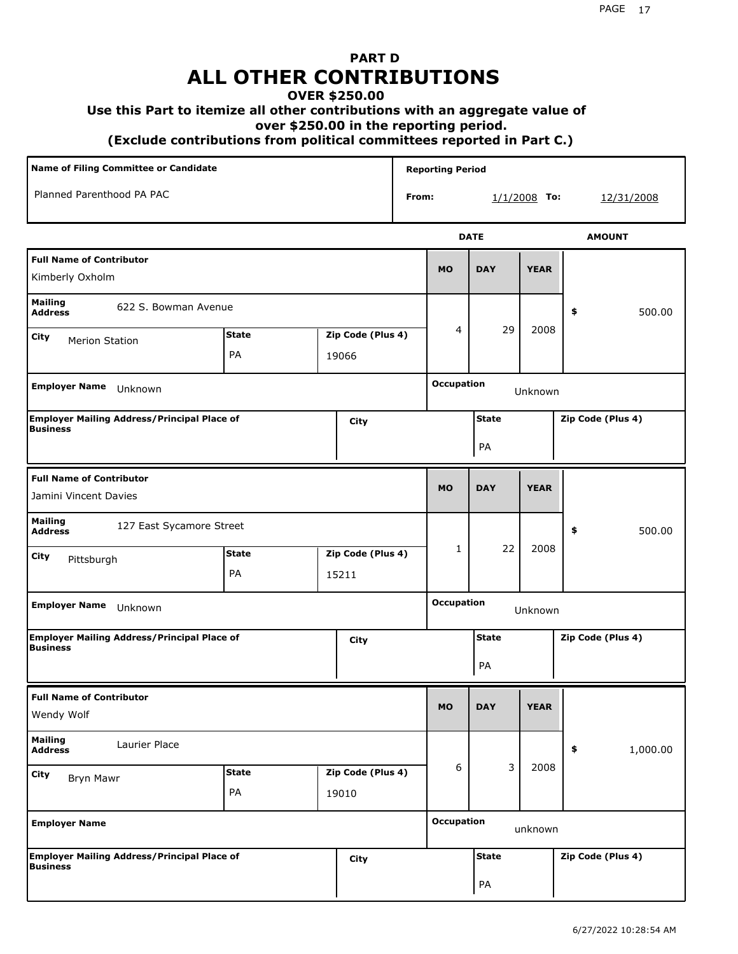## **PART D ALL OTHER CONTRIBUTIONS**

## **OVER \$250.00**

## **Use this Part to itemize all other contributions with an aggregate value of**

 **over \$250.00 in the reporting period.**

 **(Exclude contributions from political committees reported in Part C.)** 

| Name of Filing Committee or Candidate                                 |                    |                            |                            |       | <b>Reporting Period</b>      |                    |                |    |                   |
|-----------------------------------------------------------------------|--------------------|----------------------------|----------------------------|-------|------------------------------|--------------------|----------------|----|-------------------|
| Planned Parenthood PA PAC                                             |                    |                            |                            | From: |                              |                    | $1/1/2008$ To: |    | 12/31/2008        |
|                                                                       |                    |                            |                            |       |                              | <b>DATE</b>        |                |    | <b>AMOUNT</b>     |
| <b>Full Name of Contributor</b><br>Kimberly Oxholm                    |                    |                            |                            |       | <b>MO</b>                    | <b>DAY</b>         | <b>YEAR</b>    |    |                   |
| <b>Mailing</b><br>622 S. Bowman Avenue<br><b>Address</b>              |                    |                            |                            |       |                              |                    |                | \$ | 500.00            |
| City<br><b>Merion Station</b>                                         | <b>State</b><br>PA | Zip Code (Plus 4)<br>19066 |                            |       | 4                            | 29                 | 2008           |    |                   |
| <b>Employer Name</b><br>Unknown                                       |                    |                            |                            |       | <b>Occupation</b>            |                    | Unknown        |    |                   |
| <b>Employer Mailing Address/Principal Place of</b><br>Business        |                    |                            | City                       |       |                              | <b>State</b><br>PA |                |    | Zip Code (Plus 4) |
| <b>Full Name of Contributor</b><br>Jamini Vincent Davies              |                    |                            |                            |       | <b>MO</b>                    | <b>DAY</b>         | <b>YEAR</b>    |    |                   |
| <b>Mailing</b><br>127 East Sycamore Street<br><b>Address</b>          |                    |                            |                            |       |                              |                    |                | \$ | 500.00            |
| City<br>Pittsburgh                                                    | <b>State</b><br>PA |                            | Zip Code (Plus 4)<br>15211 |       | 1                            | 22                 | 2008           |    |                   |
| <b>Employer Name</b><br>Unknown                                       |                    |                            |                            |       | <b>Occupation</b><br>Unknown |                    |                |    |                   |
| <b>Employer Mailing Address/Principal Place of</b><br><b>Business</b> |                    |                            | City                       |       |                              | <b>State</b><br>PA |                |    | Zip Code (Plus 4) |
| <b>Full Name of Contributor</b><br>Wendy Wolf                         |                    |                            |                            |       | <b>MO</b>                    | <b>DAY</b>         | <b>YEAR</b>    |    |                   |
| <b>Mailing</b><br>Laurier Place<br><b>Address</b>                     |                    |                            |                            |       |                              |                    |                | \$ | 1,000.00          |
| City<br><b>Bryn Mawr</b>                                              | <b>State</b><br>PA |                            | Zip Code (Plus 4)<br>19010 |       | 6                            | 3                  | 2008           |    |                   |
| <b>Employer Name</b>                                                  |                    |                            |                            |       | <b>Occupation</b>            |                    | unknown        |    |                   |
| Employer Mailing Address/Principal Place of<br>Business               |                    |                            | <b>City</b>                |       |                              | <b>State</b><br>PA |                |    | Zip Code (Plus 4) |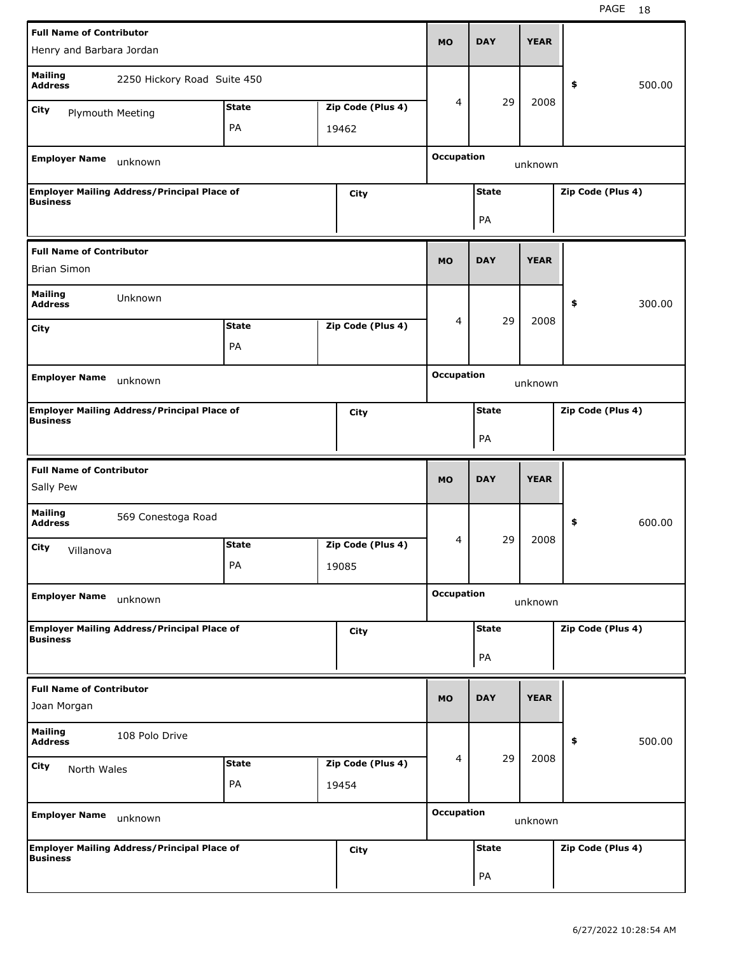|                                                | <b>Full Name of Contributor</b>                    |              |                   |  |                              | <b>DAY</b>   | <b>YEAR</b> |                   |
|------------------------------------------------|----------------------------------------------------|--------------|-------------------|--|------------------------------|--------------|-------------|-------------------|
| Henry and Barbara Jordan                       |                                                    |              |                   |  | <b>MO</b>                    |              |             |                   |
| <b>Mailing</b><br><b>Address</b>               | 2250 Hickory Road Suite 450                        |              |                   |  |                              |              |             | \$<br>500.00      |
| <b>City</b><br>Plymouth Meeting                |                                                    | <b>State</b> | Zip Code (Plus 4) |  | 4                            | 29           | 2008        |                   |
|                                                |                                                    | PA           | 19462             |  |                              |              |             |                   |
|                                                |                                                    |              |                   |  |                              |              |             |                   |
| <b>Employer Name</b>                           | unknown                                            |              |                   |  | <b>Occupation</b><br>unknown |              |             |                   |
| <b>Business</b>                                | <b>Employer Mailing Address/Principal Place of</b> |              | City              |  |                              | <b>State</b> |             | Zip Code (Plus 4) |
|                                                |                                                    |              |                   |  |                              | PA           |             |                   |
| <b>Full Name of Contributor</b>                |                                                    |              |                   |  |                              |              |             |                   |
| <b>Brian Simon</b>                             |                                                    |              |                   |  | <b>MO</b>                    | <b>DAY</b>   | <b>YEAR</b> |                   |
| <b>Mailing</b><br><b>Address</b>               | Unknown                                            |              |                   |  |                              |              |             | \$<br>300.00      |
| City                                           |                                                    | <b>State</b> | Zip Code (Plus 4) |  | 4                            | 29           | 2008        |                   |
|                                                |                                                    | PA           |                   |  |                              |              |             |                   |
|                                                |                                                    |              |                   |  |                              |              |             |                   |
| <b>Employer Name</b><br>unknown                |                                                    |              |                   |  | <b>Occupation</b>            |              | unknown     |                   |
| <b>Business</b>                                | <b>Employer Mailing Address/Principal Place of</b> |              | <b>City</b>       |  | <b>State</b>                 |              |             | Zip Code (Plus 4) |
|                                                |                                                    |              |                   |  |                              | PA           |             |                   |
|                                                |                                                    |              |                   |  |                              |              |             |                   |
|                                                |                                                    |              |                   |  |                              |              |             |                   |
| <b>Full Name of Contributor</b><br>Sally Pew   |                                                    |              |                   |  | <b>MO</b>                    | <b>DAY</b>   | <b>YEAR</b> |                   |
| <b>Mailing</b><br><b>Address</b>               | 569 Conestoga Road                                 |              |                   |  |                              |              |             | \$<br>600.00      |
| City                                           |                                                    | <b>State</b> | Zip Code (Plus 4) |  | 4                            | 29           | 2008        |                   |
| Villanova                                      |                                                    | PA           |                   |  |                              |              |             |                   |
|                                                |                                                    |              | 19085             |  |                              |              |             |                   |
| <b>Employer Name</b>                           | unknown                                            |              |                   |  | <b>Occupation</b>            |              | unknown     |                   |
|                                                | <b>Employer Mailing Address/Principal Place of</b> |              | <b>City</b>       |  |                              | <b>State</b> |             | Zip Code (Plus 4) |
| <b>Business</b>                                |                                                    |              |                   |  |                              | PA           |             |                   |
|                                                |                                                    |              |                   |  |                              |              |             |                   |
| <b>Full Name of Contributor</b><br>Joan Morgan |                                                    |              |                   |  | <b>MO</b>                    | <b>DAY</b>   | <b>YEAR</b> |                   |
| <b>Mailing</b><br><b>Address</b>               | 108 Polo Drive                                     |              |                   |  |                              |              |             | 500.00<br>\$      |
| <b>City</b>                                    |                                                    | <b>State</b> | Zip Code (Plus 4) |  | 4                            | 29           | 2008        |                   |
| North Wales                                    |                                                    | PA           | 19454             |  |                              |              |             |                   |
| <b>Employer Name</b>                           |                                                    |              |                   |  | <b>Occupation</b>            |              |             |                   |
|                                                | unknown                                            |              |                   |  |                              |              | unknown     |                   |
| <b>Business</b>                                | <b>Employer Mailing Address/Principal Place of</b> |              | <b>City</b>       |  |                              | <b>State</b> |             | Zip Code (Plus 4) |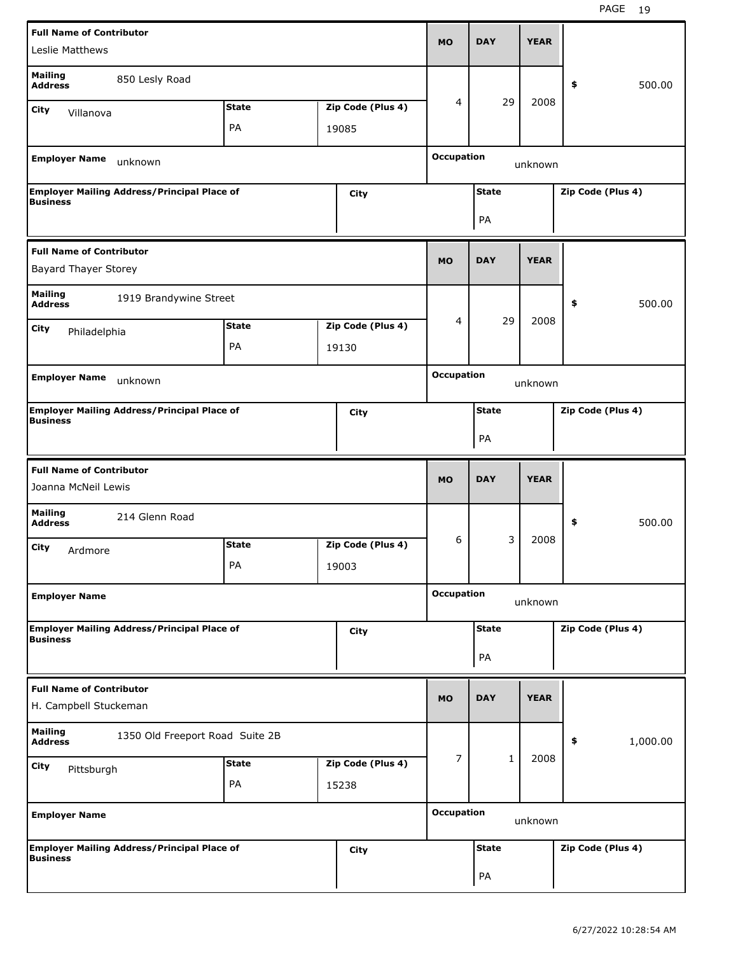|                                                          | <b>Full Name of Contributor</b>                            |              |       |                   |                              |              |             |                   |
|----------------------------------------------------------|------------------------------------------------------------|--------------|-------|-------------------|------------------------------|--------------|-------------|-------------------|
| Leslie Matthews                                          |                                                            |              |       |                   | <b>MO</b>                    | <b>DAY</b>   | <b>YEAR</b> |                   |
| <b>Mailing</b><br><b>Address</b>                         | 850 Lesly Road                                             |              |       |                   |                              |              |             | 500.00<br>\$      |
| City<br>Villanova                                        |                                                            | <b>State</b> |       | Zip Code (Plus 4) | 4                            | 29           | 2008        |                   |
|                                                          |                                                            | PA           | 19085 |                   |                              |              |             |                   |
|                                                          |                                                            |              |       |                   |                              |              |             |                   |
| <b>Employer Name</b>                                     | unknown                                                    |              |       |                   | <b>Occupation</b><br>unknown |              |             |                   |
| <b>Business</b>                                          | <b>Employer Mailing Address/Principal Place of</b>         |              |       | City              |                              | <b>State</b> |             | Zip Code (Plus 4) |
|                                                          |                                                            |              |       |                   |                              | PA           |             |                   |
| <b>Full Name of Contributor</b>                          |                                                            |              |       |                   |                              |              |             |                   |
| <b>Bayard Thayer Storey</b>                              |                                                            |              |       |                   | <b>MO</b>                    | <b>DAY</b>   | <b>YEAR</b> |                   |
| <b>Mailing</b><br><b>Address</b>                         | 1919 Brandywine Street                                     |              |       |                   |                              |              |             | \$<br>500.00      |
| City<br>Philadelphia                                     |                                                            | <b>State</b> |       | Zip Code (Plus 4) | 4                            | 29           | 2008        |                   |
|                                                          |                                                            | PA           | 19130 |                   |                              |              |             |                   |
|                                                          |                                                            |              |       |                   |                              |              |             |                   |
| <b>Employer Name</b>                                     | unknown                                                    |              |       |                   | <b>Occupation</b>            |              | unknown     |                   |
| <b>Business</b>                                          | <b>Employer Mailing Address/Principal Place of</b><br>City |              |       |                   |                              | <b>State</b> |             | Zip Code (Plus 4) |
|                                                          |                                                            |              |       |                   |                              | PA           |             |                   |
|                                                          |                                                            |              |       |                   |                              |              |             |                   |
|                                                          |                                                            |              |       |                   |                              |              |             |                   |
| <b>Full Name of Contributor</b><br>Joanna McNeil Lewis   |                                                            |              |       |                   | <b>MO</b>                    | <b>DAY</b>   | <b>YEAR</b> |                   |
| <b>Mailing</b><br><b>Address</b>                         | 214 Glenn Road                                             |              |       |                   |                              |              |             | \$<br>500.00      |
| City                                                     |                                                            | <b>State</b> |       | Zip Code (Plus 4) | 6                            | 3            | 2008        |                   |
| Ardmore                                                  |                                                            | PA           |       |                   |                              |              |             |                   |
|                                                          |                                                            |              | 19003 |                   |                              |              |             |                   |
| <b>Employer Name</b>                                     |                                                            |              |       |                   | <b>Occupation</b>            |              | unknown     |                   |
|                                                          | <b>Employer Mailing Address/Principal Place of</b>         |              |       | City              |                              | <b>State</b> |             | Zip Code (Plus 4) |
| <b>Business</b>                                          |                                                            |              |       |                   |                              | PA           |             |                   |
|                                                          |                                                            |              |       |                   |                              |              |             |                   |
| <b>Full Name of Contributor</b><br>H. Campbell Stuckeman |                                                            |              |       |                   | <b>MO</b>                    | <b>DAY</b>   | <b>YEAR</b> |                   |
| <b>Mailing</b><br><b>Address</b>                         | 1350 Old Freeport Road Suite 2B                            |              |       |                   |                              |              |             | 1,000.00<br>\$    |
| <b>City</b>                                              |                                                            | <b>State</b> |       | Zip Code (Plus 4) | $\overline{7}$               | 1            | 2008        |                   |
| Pittsburgh                                               |                                                            | PA           | 15238 |                   |                              |              |             |                   |
|                                                          |                                                            |              |       |                   | <b>Occupation</b>            |              |             |                   |
| <b>Employer Name</b>                                     |                                                            |              |       |                   |                              |              | unknown     |                   |
|                                                          | <b>Employer Mailing Address/Principal Place of</b>         |              |       | <b>City</b>       |                              | <b>State</b> |             | Zip Code (Plus 4) |
| <b>Business</b>                                          |                                                            |              |       |                   |                              | PA           |             |                   |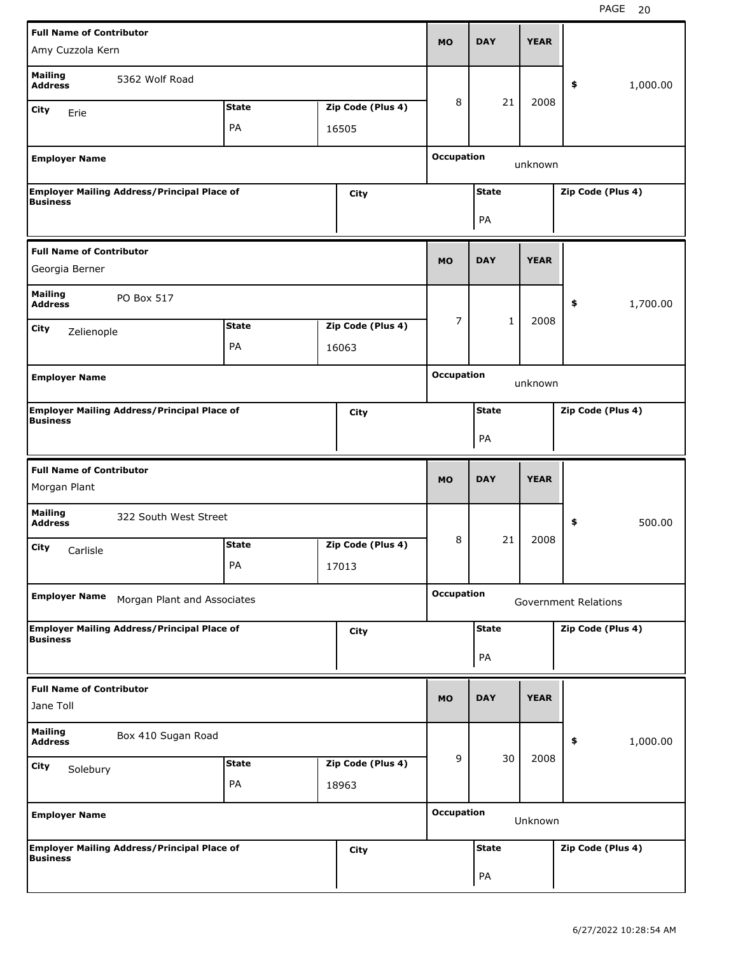|                                              | <b>Full Name of Contributor</b>                    |              |  |                   |                                   |                    |             |                             |          |
|----------------------------------------------|----------------------------------------------------|--------------|--|-------------------|-----------------------------------|--------------------|-------------|-----------------------------|----------|
| Amy Cuzzola Kern                             |                                                    |              |  |                   | <b>MO</b>                         | <b>DAY</b>         | <b>YEAR</b> |                             |          |
| <b>Mailing</b><br><b>Address</b>             | 5362 Wolf Road                                     |              |  |                   |                                   |                    |             | \$                          | 1,000.00 |
| <b>City</b><br>Erie                          |                                                    | <b>State</b> |  | Zip Code (Plus 4) | 8                                 | 21                 | 2008        |                             |          |
|                                              |                                                    | PA           |  | 16505             |                                   |                    |             |                             |          |
| <b>Employer Name</b>                         |                                                    |              |  |                   | <b>Occupation</b>                 |                    |             |                             |          |
|                                              |                                                    |              |  |                   |                                   |                    | unknown     |                             |          |
| <b>Business</b>                              | <b>Employer Mailing Address/Principal Place of</b> |              |  | <b>City</b>       |                                   | <b>State</b>       |             | Zip Code (Plus 4)           |          |
|                                              |                                                    |              |  |                   |                                   | PA                 |             |                             |          |
|                                              |                                                    |              |  |                   |                                   |                    |             |                             |          |
| <b>Full Name of Contributor</b>              |                                                    |              |  |                   |                                   | <b>DAY</b>         | <b>YEAR</b> |                             |          |
| Georgia Berner                               |                                                    |              |  |                   | <b>MO</b>                         |                    |             |                             |          |
| <b>Mailing</b><br><b>Address</b>             | PO Box 517                                         |              |  |                   |                                   |                    |             | \$                          | 1,700.00 |
|                                              |                                                    |              |  |                   | $\overline{7}$                    | 1                  | 2008        |                             |          |
| <b>City</b><br>Zelienople                    |                                                    | <b>State</b> |  | Zip Code (Plus 4) |                                   |                    |             |                             |          |
|                                              |                                                    | PA           |  | 16063             |                                   |                    |             |                             |          |
| <b>Employer Name</b>                         |                                                    |              |  |                   | <b>Occupation</b>                 |                    | unknown     |                             |          |
|                                              | <b>Employer Mailing Address/Principal Place of</b> |              |  | <b>City</b>       | <b>State</b><br>Zip Code (Plus 4) |                    |             |                             |          |
| <b>Business</b>                              |                                                    |              |  |                   |                                   |                    |             |                             |          |
|                                              |                                                    |              |  |                   |                                   | PA                 |             |                             |          |
|                                              |                                                    |              |  |                   |                                   |                    |             |                             |          |
| <b>Full Name of Contributor</b>              |                                                    |              |  |                   |                                   |                    |             |                             |          |
| Morgan Plant                                 |                                                    |              |  |                   | <b>MO</b>                         | <b>DAY</b>         | <b>YEAR</b> |                             |          |
| <b>Mailing</b><br><b>Address</b>             | 322 South West Street                              |              |  |                   |                                   |                    |             | \$                          | 500.00   |
|                                              |                                                    | <b>State</b> |  | Zip Code (Plus 4) | 8                                 | 21                 | 2008        |                             |          |
| City<br>Carlisle                             |                                                    | PA           |  | 17013             |                                   |                    |             |                             |          |
|                                              |                                                    |              |  |                   |                                   |                    |             |                             |          |
| <b>Employer Name</b>                         | Morgan Plant and Associates                        |              |  |                   | <b>Occupation</b>                 |                    |             | <b>Government Relations</b> |          |
|                                              | <b>Employer Mailing Address/Principal Place of</b> |              |  | <b>City</b>       |                                   | <b>State</b>       |             | Zip Code (Plus 4)           |          |
| <b>Business</b>                              |                                                    |              |  |                   |                                   |                    |             |                             |          |
|                                              |                                                    |              |  |                   |                                   | PA                 |             |                             |          |
| <b>Full Name of Contributor</b><br>Jane Toll |                                                    |              |  |                   | <b>MO</b>                         | <b>DAY</b>         | <b>YEAR</b> |                             |          |
| <b>Mailing</b>                               | Box 410 Sugan Road                                 |              |  |                   |                                   |                    |             |                             |          |
| <b>Address</b>                               |                                                    |              |  |                   |                                   |                    |             | \$                          | 1,000.00 |
| <b>City</b><br>Solebury                      |                                                    | <b>State</b> |  | Zip Code (Plus 4) | 9                                 | 30                 | 2008        |                             |          |
|                                              |                                                    | PA           |  | 18963             |                                   |                    |             |                             |          |
| <b>Employer Name</b>                         |                                                    |              |  |                   | <b>Occupation</b>                 |                    | Unknown     |                             |          |
|                                              |                                                    |              |  |                   |                                   |                    |             |                             |          |
| <b>Business</b>                              | <b>Employer Mailing Address/Principal Place of</b> |              |  | <b>City</b>       |                                   | <b>State</b><br>PA |             | Zip Code (Plus 4)           |          |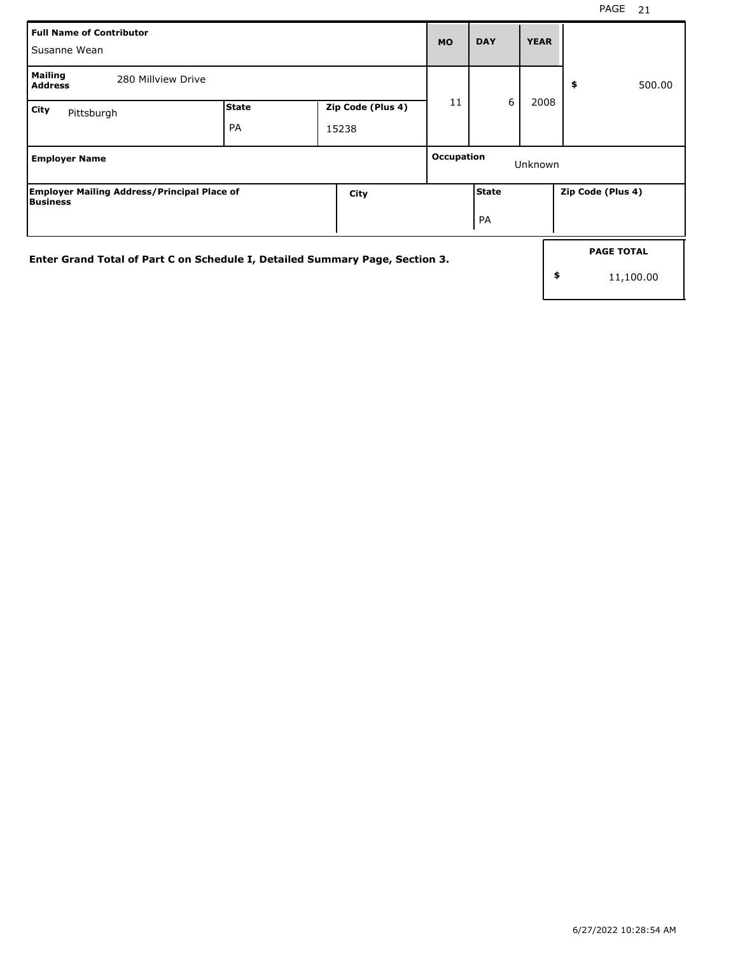| Full Name of Contributor<br>l Susanne Wean                                   |                    |                            | <b>MO</b>                    | <b>DAY</b>         | <b>YEAR</b> |                                |  |
|------------------------------------------------------------------------------|--------------------|----------------------------|------------------------------|--------------------|-------------|--------------------------------|--|
| Mailing<br>280 Millyiew Drive<br><b>Address</b>                              |                    |                            |                              |                    |             | \$<br>500.00                   |  |
| City<br>Pittsburgh                                                           | <b>State</b><br>PA | Zip Code (Plus 4)<br>15238 | 11                           | 6                  | 2008        |                                |  |
| <b>Employer Name</b>                                                         |                    |                            | <b>Occupation</b><br>Unknown |                    |             |                                |  |
| <b>Employer Mailing Address/Principal Place of</b><br><b>Business</b>        |                    | City                       |                              | <b>State</b><br>PA |             | Zip Code (Plus 4)              |  |
| Enter Grand Total of Part C on Schedule I, Detailed Summary Page, Section 3. |                    |                            |                              |                    | \$          | <b>PAGE TOTAL</b><br>11,100.00 |  |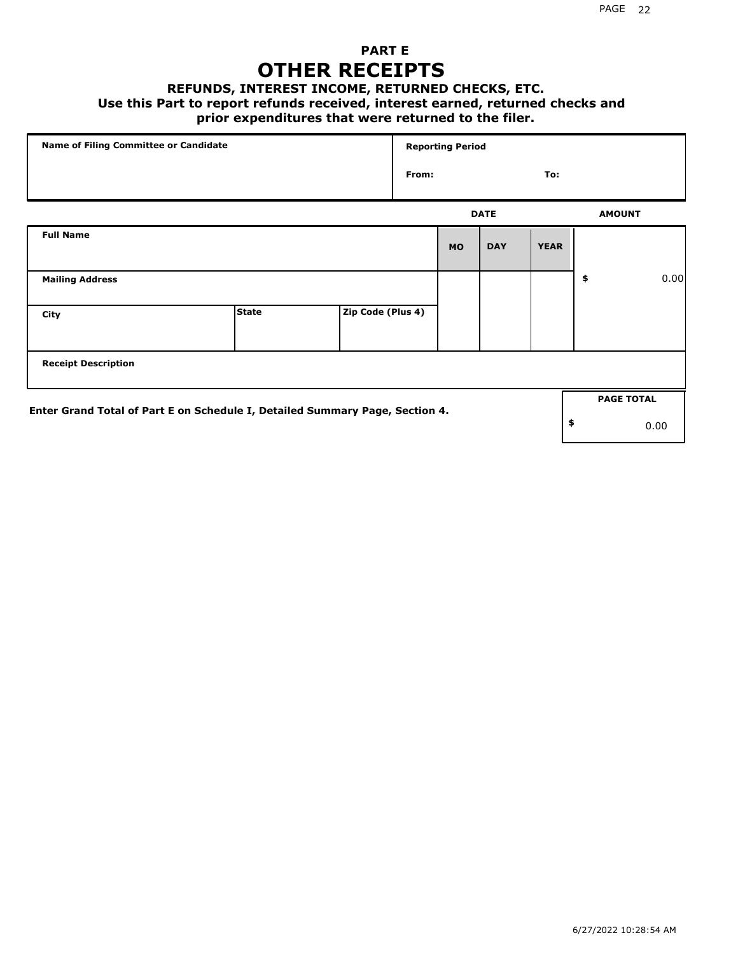## **PART E OTHER RECEIPTS**

#### **REFUNDS, INTEREST INCOME, RETURNED CHECKS, ETC.**

#### **Use this Part to report refunds received, interest earned, returned checks and**

## **prior expenditures that were returned to the filer.**

| Name of Filing Committee or Candidate                                        |              |                   |       | <b>Reporting Period</b> |             |             |                   |      |
|------------------------------------------------------------------------------|--------------|-------------------|-------|-------------------------|-------------|-------------|-------------------|------|
|                                                                              |              |                   | From: |                         |             | To:         |                   |      |
|                                                                              |              |                   |       |                         | <b>DATE</b> |             | <b>AMOUNT</b>     |      |
| <b>Full Name</b>                                                             |              |                   |       | <b>MO</b>               | <b>DAY</b>  | <b>YEAR</b> |                   |      |
| <b>Mailing Address</b>                                                       |              |                   |       |                         |             |             | \$                | 0.00 |
| City                                                                         | <b>State</b> | Zip Code (Plus 4) |       |                         |             |             |                   |      |
| <b>Receipt Description</b>                                                   |              |                   |       |                         |             |             |                   |      |
| Enter Grand Total of Part E on Schedule I, Detailed Summary Page, Section 4. |              |                   |       |                         |             |             | <b>PAGE TOTAL</b> |      |
|                                                                              |              |                   |       |                         |             |             | \$                | 0.00 |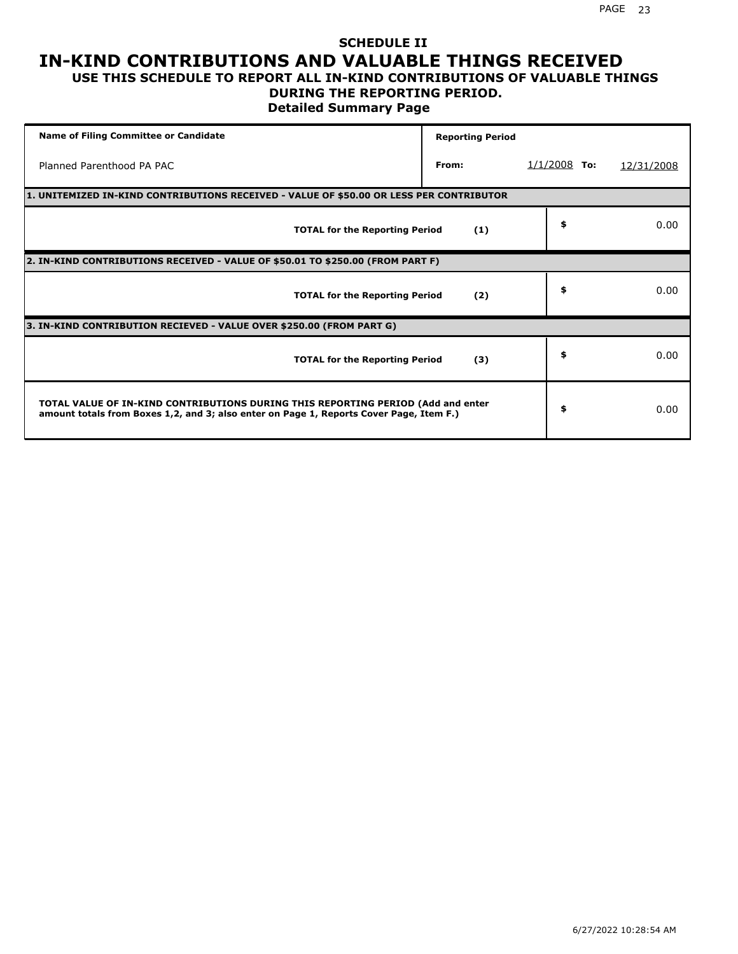### **SCHEDULE II IN-KIND CONTRIBUTIONS AND VALUABLE THINGS RECEIVED USE THIS SCHEDULE TO REPORT ALL IN-KIND CONTRIBUTIONS OF VALUABLE THINGS**

## **DURING THE REPORTING PERIOD.**

**Detailed Summary Page**

| <b>Name of Filing Committee or Candidate</b>                                                                                                                                | <b>Reporting Period</b> |                 |            |
|-----------------------------------------------------------------------------------------------------------------------------------------------------------------------------|-------------------------|-----------------|------------|
| Planned Parenthood PA PAC                                                                                                                                                   | From:                   | 1/1/2008<br>To: | 12/31/2008 |
| 1. UNITEMIZED IN-KIND CONTRIBUTIONS RECEIVED - VALUE OF \$50.00 OR LESS PER CONTRIBUTOR                                                                                     |                         |                 |            |
| <b>TOTAL for the Reporting Period</b>                                                                                                                                       | (1)                     | \$              | 0.00       |
| 2. IN-KIND CONTRIBUTIONS RECEIVED - VALUE OF \$50.01 TO \$250.00 (FROM PART F)                                                                                              |                         |                 |            |
| <b>TOTAL for the Reporting Period</b>                                                                                                                                       | (2)                     | \$              | 0.00       |
| 3. IN-KIND CONTRIBUTION RECIEVED - VALUE OVER \$250.00 (FROM PART G)                                                                                                        |                         |                 |            |
| <b>TOTAL for the Reporting Period</b>                                                                                                                                       | (3)                     | \$              | 0.00       |
| TOTAL VALUE OF IN-KIND CONTRIBUTIONS DURING THIS REPORTING PERIOD (Add and enter<br>amount totals from Boxes 1,2, and 3; also enter on Page 1, Reports Cover Page, Item F.) |                         | \$              | 0.00       |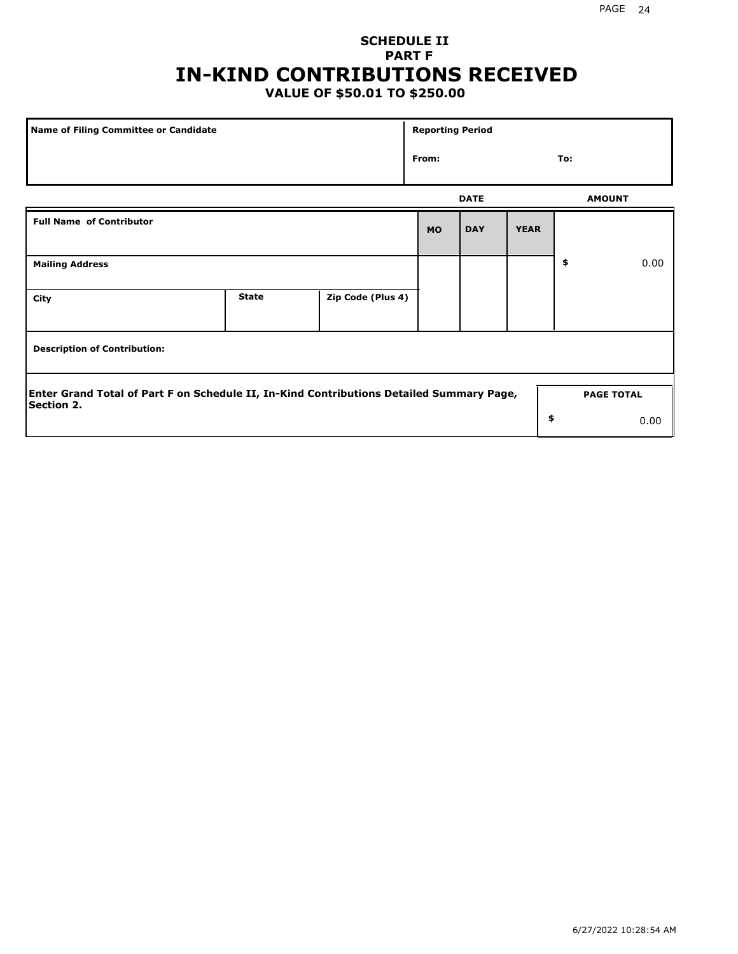## **SCHEDULE II PART F IN-KIND CONTRIBUTIONS RECEIVED**

## **VALUE OF \$50.01 TO \$250.00**

| Name of Filing Committee or Candidate                                                                  |              |                   | <b>Reporting Period</b> |             |             |               |                   |
|--------------------------------------------------------------------------------------------------------|--------------|-------------------|-------------------------|-------------|-------------|---------------|-------------------|
|                                                                                                        |              |                   |                         |             |             | To:           |                   |
|                                                                                                        |              |                   |                         | <b>DATE</b> |             | <b>AMOUNT</b> |                   |
| <b>Full Name of Contributor</b>                                                                        |              |                   | <b>MO</b>               | <b>DAY</b>  | <b>YEAR</b> |               |                   |
| <b>Mailing Address</b>                                                                                 |              |                   |                         |             |             | \$            | 0.00              |
| City                                                                                                   | <b>State</b> | Zip Code (Plus 4) |                         |             |             |               |                   |
| <b>Description of Contribution:</b>                                                                    |              |                   |                         |             |             |               |                   |
| Enter Grand Total of Part F on Schedule II, In-Kind Contributions Detailed Summary Page,<br>Section 2. |              |                   |                         |             |             |               | <b>PAGE TOTAL</b> |
|                                                                                                        |              |                   |                         |             | \$          |               | 0.00              |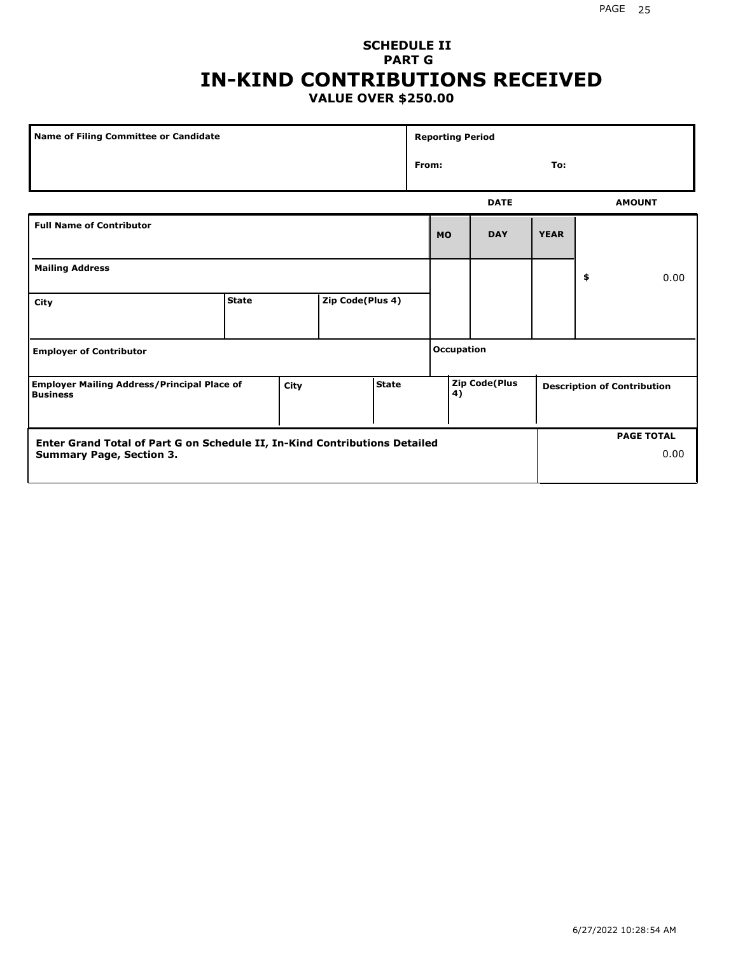### **SCHEDULE II PART G IN-KIND CONTRIBUTIONS RECEIVED VALUE OVER \$250.00**

| <b>Name of Filing Committee or Candidate</b>                                                  |              |  |                  |  |       | <b>Reporting Period</b> |                      |             |                                    |
|-----------------------------------------------------------------------------------------------|--------------|--|------------------|--|-------|-------------------------|----------------------|-------------|------------------------------------|
|                                                                                               |              |  |                  |  | From: |                         |                      | To:         |                                    |
|                                                                                               |              |  |                  |  |       |                         | <b>DATE</b>          |             | <b>AMOUNT</b>                      |
| <b>Full Name of Contributor</b>                                                               |              |  |                  |  |       | <b>MO</b>               | <b>DAY</b>           | <b>YEAR</b> |                                    |
| <b>Mailing Address</b>                                                                        |              |  |                  |  |       |                         |                      |             | \$<br>0.00                         |
| City                                                                                          | <b>State</b> |  | Zip Code(Plus 4) |  |       |                         |                      |             |                                    |
| <b>Employer of Contributor</b>                                                                |              |  |                  |  |       | <b>Occupation</b>       |                      |             |                                    |
| <b>Employer Mailing Address/Principal Place of</b><br><b>State</b><br>City<br><b>Business</b> |              |  |                  |  |       | 4)                      | <b>Zip Code(Plus</b> |             | <b>Description of Contribution</b> |
| Enter Grand Total of Part G on Schedule II, In-Kind Contributions Detailed                    |              |  |                  |  |       |                         |                      |             | <b>PAGE TOTAL</b>                  |
| <b>Summary Page, Section 3.</b>                                                               |              |  |                  |  |       |                         |                      |             | 0.00                               |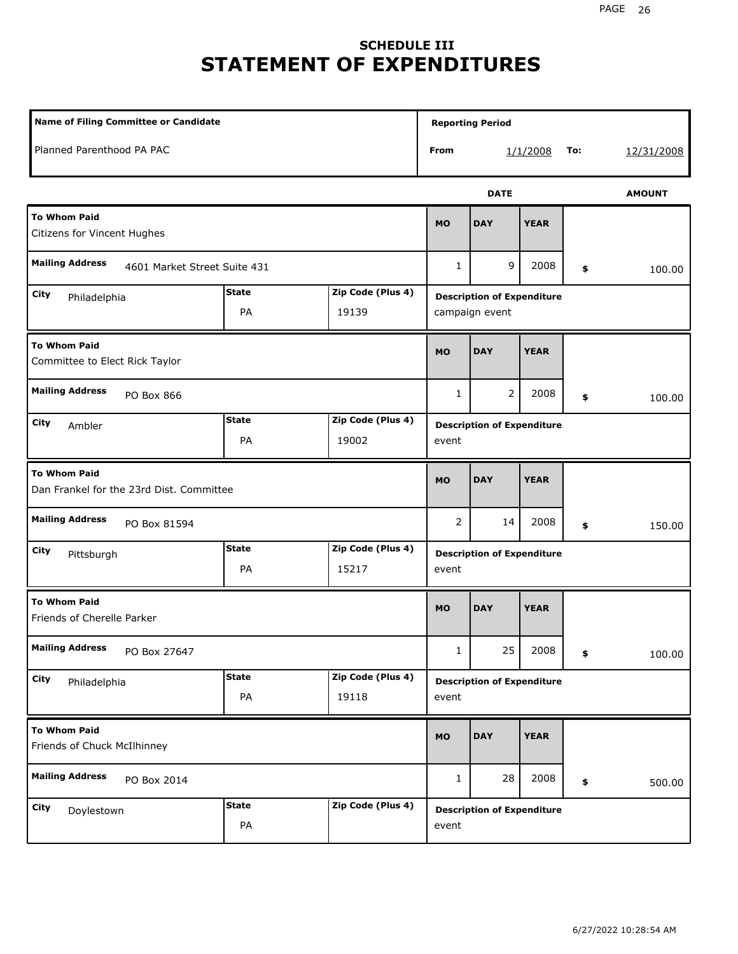# **SCHEDULE III STATEMENT OF EXPENDITURES**

| <b>Name of Filing Committee or Candidate</b>                             |                    |                            |                | <b>Reporting Period</b>                             |             |     |               |
|--------------------------------------------------------------------------|--------------------|----------------------------|----------------|-----------------------------------------------------|-------------|-----|---------------|
| Planned Parenthood PA PAC                                                |                    |                            | From           |                                                     | 1/1/2008    | To: | 12/31/2008    |
|                                                                          |                    |                            |                | <b>DATE</b>                                         |             |     | <b>AMOUNT</b> |
| <b>To Whom Paid</b><br>Citizens for Vincent Hughes                       |                    |                            |                | <b>DAY</b>                                          | <b>YEAR</b> |     |               |
| <b>Mailing Address</b><br>4601 Market Street Suite 431                   |                    |                            | 1              | 9                                                   | 2008        | \$  | 100.00        |
| <b>State</b><br>Zip Code (Plus 4)<br>City<br>Philadelphia<br>PA<br>19139 |                    |                            |                | <b>Description of Expenditure</b><br>campaign event |             |     |               |
| <b>To Whom Paid</b><br>Committee to Elect Rick Taylor                    |                    |                            | <b>MO</b>      | <b>DAY</b>                                          | <b>YEAR</b> |     |               |
| <b>Mailing Address</b><br>PO Box 866                                     |                    |                            | $\mathbf{1}$   | $\overline{2}$                                      | 2008        | \$  | 100.00        |
| City<br>Ambler                                                           | <b>State</b><br>PA | Zip Code (Plus 4)<br>19002 | event          | <b>Description of Expenditure</b>                   |             |     |               |
| <b>To Whom Paid</b><br>Dan Frankel for the 23rd Dist. Committee          |                    |                            | <b>MO</b>      | <b>DAY</b>                                          | <b>YEAR</b> |     |               |
| <b>Mailing Address</b><br>PO Box 81594                                   |                    |                            | $\overline{2}$ | 14                                                  | 2008        | \$  | 150.00        |
| <b>City</b><br>Pittsburgh                                                | <b>State</b><br>PA | Zip Code (Plus 4)<br>15217 | event          | <b>Description of Expenditure</b>                   |             |     |               |
| <b>To Whom Paid</b><br>Friends of Cherelle Parker                        |                    |                            | <b>MO</b>      | <b>DAY</b>                                          | <b>YEAR</b> |     |               |
| <b>Mailing Address</b><br>PO Box 27647                                   |                    |                            | $\mathbf{1}$   | 25                                                  | 2008        | \$  | 100.00        |
| City<br>Philadelphia                                                     | <b>State</b><br>PA | Zip Code (Plus 4)<br>19118 | event          | <b>Description of Expenditure</b>                   |             |     |               |
| <b>To Whom Paid</b><br>Friends of Chuck McIlhinney                       |                    |                            | <b>MO</b>      | <b>DAY</b>                                          | <b>YEAR</b> |     |               |
| <b>Mailing Address</b><br>PO Box 2014                                    |                    |                            | $\mathbf{1}$   | 28                                                  | 2008        | \$  | 500.00        |
| City<br>Doylestown                                                       | <b>State</b><br>PA | Zip Code (Plus 4)          | event          | <b>Description of Expenditure</b>                   |             |     |               |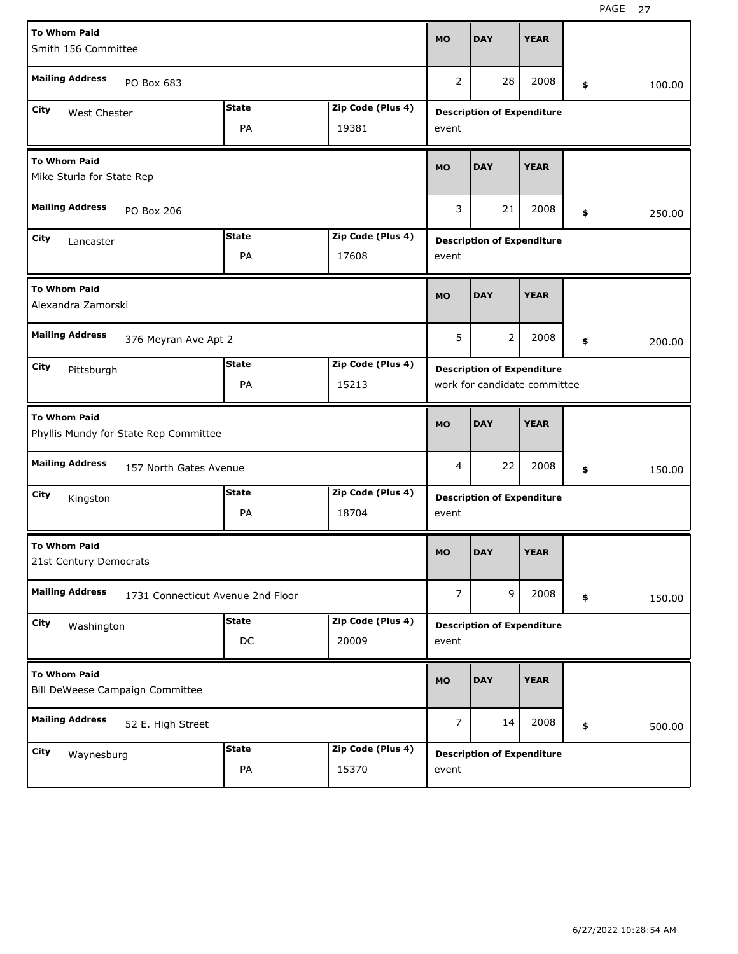| <b>To Whom Paid</b>                                    |                                       |              |                   |                |                                   |             |              |
|--------------------------------------------------------|---------------------------------------|--------------|-------------------|----------------|-----------------------------------|-------------|--------------|
| Smith 156 Committee                                    |                                       |              |                   | <b>MO</b>      | <b>DAY</b>                        | <b>YEAR</b> |              |
|                                                        |                                       |              |                   |                |                                   |             |              |
| <b>Mailing Address</b>                                 | PO Box 683                            |              |                   | 2              | 28                                | 2008        | \$<br>100.00 |
| <b>City</b><br>West Chester                            |                                       | <b>State</b> | Zip Code (Plus 4) |                | <b>Description of Expenditure</b> |             |              |
|                                                        |                                       | PA           | 19381             | event          |                                   |             |              |
| <b>To Whom Paid</b>                                    |                                       |              |                   | <b>MO</b>      | <b>DAY</b>                        | <b>YEAR</b> |              |
| Mike Sturla for State Rep                              |                                       |              |                   |                |                                   |             |              |
| <b>Mailing Address</b><br>PO Box 206                   |                                       |              |                   | 3              | 21                                | 2008        | \$<br>250.00 |
| <b>State</b><br>Zip Code (Plus 4)<br>City<br>Lancaster |                                       |              |                   |                | <b>Description of Expenditure</b> |             |              |
|                                                        |                                       | PA           | 17608             | event          |                                   |             |              |
| <b>To Whom Paid</b>                                    |                                       |              |                   |                |                                   |             |              |
| Alexandra Zamorski                                     |                                       |              |                   | <b>MO</b>      | <b>DAY</b>                        | <b>YEAR</b> |              |
| <b>Mailing Address</b>                                 |                                       |              |                   | 5              | $\overline{2}$                    | 2008        |              |
|                                                        | 376 Meyran Ave Apt 2                  |              |                   |                |                                   |             | \$<br>200.00 |
| City<br>Pittsburgh                                     |                                       | <b>State</b> | Zip Code (Plus 4) |                | <b>Description of Expenditure</b> |             |              |
|                                                        |                                       | PA           | 15213             |                | work for candidate committee      |             |              |
|                                                        |                                       |              |                   |                |                                   |             |              |
| <b>To Whom Paid</b>                                    |                                       |              |                   | <b>MO</b>      | <b>DAY</b>                        | <b>YEAR</b> |              |
|                                                        | Phyllis Mundy for State Rep Committee |              |                   |                |                                   |             |              |
| <b>Mailing Address</b>                                 | 157 North Gates Avenue                |              |                   | 4              | 22                                | 2008        | \$<br>150.00 |
| City<br>Kingston                                       |                                       | <b>State</b> | Zip Code (Plus 4) |                | <b>Description of Expenditure</b> |             |              |
|                                                        |                                       | PA           | 18704             | event          |                                   |             |              |
| <b>To Whom Paid</b>                                    |                                       |              |                   |                |                                   |             |              |
| 21st Century Democrats                                 |                                       |              |                   | <b>MO</b>      | <b>DAY</b>                        | <b>YEAR</b> |              |
| <b>Mailing Address</b>                                 | 1731 Connecticut Avenue 2nd Floor     |              |                   | $\overline{7}$ | 9                                 | 2008        | \$<br>150.00 |
| City                                                   |                                       | <b>State</b> | Zip Code (Plus 4) |                |                                   |             |              |
| Washington                                             |                                       | DC           | 20009             | event          | <b>Description of Expenditure</b> |             |              |
| <b>To Whom Paid</b>                                    |                                       |              |                   |                |                                   |             |              |
|                                                        | Bill DeWeese Campaign Committee       |              |                   | <b>MO</b>      | <b>DAY</b>                        | <b>YEAR</b> |              |
| <b>Mailing Address</b>                                 | 52 E. High Street                     |              |                   | $\overline{7}$ | 14                                | 2008        | \$<br>500.00 |
| City<br>Waynesburg                                     |                                       | <b>State</b> | Zip Code (Plus 4) |                | <b>Description of Expenditure</b> |             |              |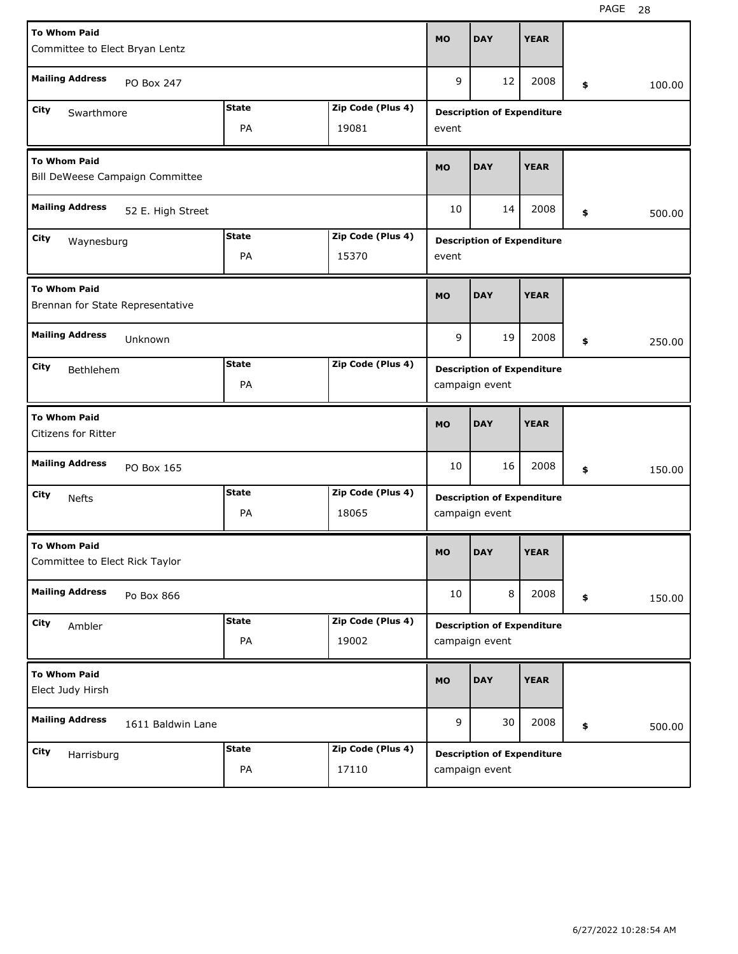| <b>To Whom Paid</b><br>Committee to Elect Bryan Lentz                  | <b>MO</b>                                                        | <b>DAY</b>                 | <b>YEAR</b> |                                                     |             |              |
|------------------------------------------------------------------------|------------------------------------------------------------------|----------------------------|-------------|-----------------------------------------------------|-------------|--------------|
| <b>Mailing Address</b><br>PO Box 247                                   |                                                                  |                            | 9           | 12                                                  | 2008        | \$<br>100.00 |
| City<br>Swarthmore                                                     | <b>State</b><br>PA                                               | Zip Code (Plus 4)<br>19081 | event       | <b>Description of Expenditure</b>                   |             |              |
| <b>To Whom Paid</b><br>Bill DeWeese Campaign Committee                 | <b>MO</b>                                                        | <b>DAY</b>                 | <b>YEAR</b> |                                                     |             |              |
| <b>Mailing Address</b><br>52 E. High Street                            | 10                                                               | 14                         | 2008        | \$<br>500.00                                        |             |              |
| <b>State</b><br>Zip Code (Plus 4)<br>City<br>Waynesburg<br>PA<br>15370 |                                                                  |                            |             | <b>Description of Expenditure</b>                   |             |              |
| <b>To Whom Paid</b><br>Brennan for State Representative                |                                                                  |                            | <b>MO</b>   | <b>DAY</b>                                          | <b>YEAR</b> |              |
| <b>Mailing Address</b><br>Unknown                                      |                                                                  |                            | 9           | 19                                                  | 2008        | \$<br>250.00 |
| City<br>Bethlehem                                                      | <b>State</b><br>PA                                               | Zip Code (Plus 4)          |             | <b>Description of Expenditure</b><br>campaign event |             |              |
| <b>To Whom Paid</b><br><b>Citizens for Ritter</b>                      |                                                                  |                            | <b>MO</b>   | <b>DAY</b>                                          | <b>YEAR</b> |              |
| <b>Mailing Address</b><br>PO Box 165                                   |                                                                  |                            | 10          | 16                                                  |             |              |
|                                                                        | <b>State</b><br>Zip Code (Plus 4)<br><b>Nefts</b><br>18065<br>PA |                            |             |                                                     | 2008        | \$<br>150.00 |
| City                                                                   |                                                                  |                            |             | <b>Description of Expenditure</b><br>campaign event |             |              |
| <b>To Whom Paid</b><br>Committee to Elect Rick Taylor                  |                                                                  |                            | <b>MO</b>   | <b>DAY</b>                                          | <b>YEAR</b> |              |
| <b>Mailing Address</b><br>Po Box 866                                   |                                                                  |                            | 10          | 8                                                   | 2008        | \$<br>150.00 |
| City<br>Ambler                                                         | <b>State</b><br>PA                                               | Zip Code (Plus 4)<br>19002 |             | <b>Description of Expenditure</b><br>campaign event |             |              |
| <b>To Whom Paid</b><br>Elect Judy Hirsh                                |                                                                  |                            | <b>MO</b>   | <b>DAY</b>                                          | <b>YEAR</b> |              |
| <b>Mailing Address</b><br>1611 Baldwin Lane                            |                                                                  |                            | 9           | 30                                                  | 2008        | \$<br>500.00 |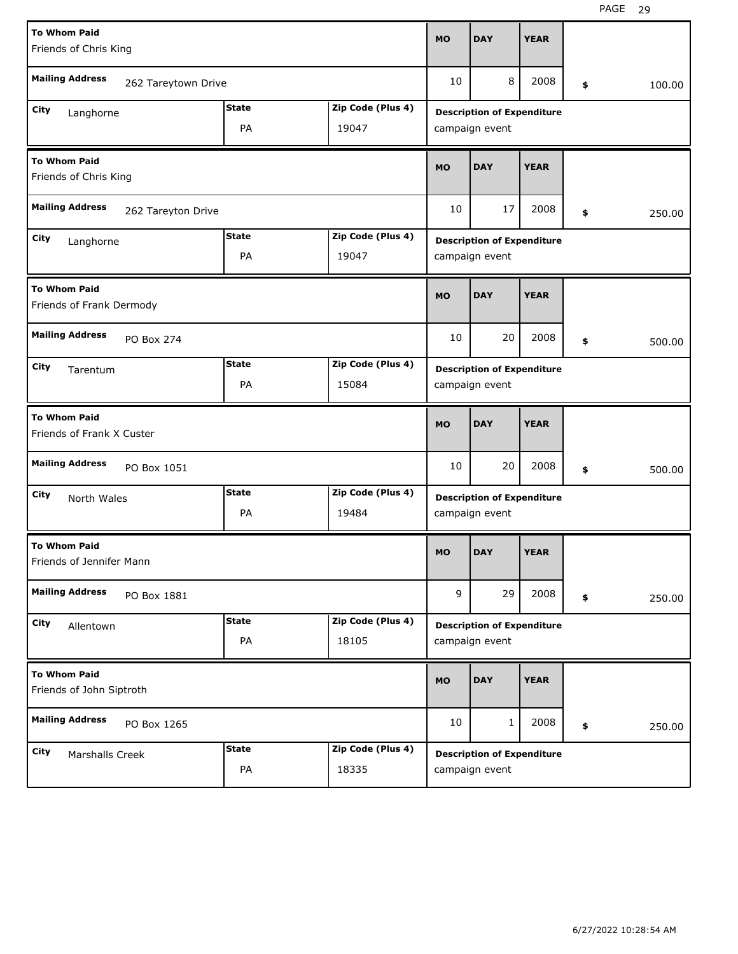| <b>To Whom Paid</b><br><b>MO</b><br><b>DAY</b><br>Friends of Chris King                           | <b>YEAR</b> |              |
|---------------------------------------------------------------------------------------------------|-------------|--------------|
| <b>Mailing Address</b><br>8<br>10<br>262 Tareytown Drive                                          | 2008        | \$<br>100.00 |
| <b>State</b><br>Zip Code (Plus 4)<br>City<br><b>Description of Expenditure</b><br>Langhorne       |             |              |
| PA<br>19047<br>campaign event                                                                     |             |              |
| <b>To Whom Paid</b><br><b>MO</b><br><b>DAY</b><br>Friends of Chris King                           | <b>YEAR</b> |              |
| <b>Mailing Address</b><br>17<br>10<br>262 Tareyton Drive                                          | 2008        | \$<br>250.00 |
| <b>State</b><br>Zip Code (Plus 4)<br>City<br><b>Description of Expenditure</b><br>Langhorne       |             |              |
| PA<br>19047<br>campaign event                                                                     |             |              |
| <b>To Whom Paid</b><br><b>DAY</b><br><b>MO</b><br>Friends of Frank Dermody                        | <b>YEAR</b> |              |
| <b>Mailing Address</b><br>20                                                                      | 2008        | \$<br>500.00 |
| 10<br>PO Box 274                                                                                  |             |              |
| <b>State</b><br>Zip Code (Plus 4)<br>City                                                         |             |              |
| <b>Description of Expenditure</b><br>Tarentum<br>PA<br>15084<br>campaign event                    |             |              |
| <b>To Whom Paid</b><br><b>DAY</b><br><b>MO</b><br>Friends of Frank X Custer                       | <b>YEAR</b> |              |
| <b>Mailing Address</b><br>20<br>10<br>PO Box 1051                                                 | 2008        | \$<br>500.00 |
| <b>State</b><br>Zip Code (Plus 4)<br>City<br><b>Description of Expenditure</b><br>North Wales     |             |              |
| 19484<br>PA<br>campaign event                                                                     |             |              |
| <b>To Whom Paid</b><br><b>DAY</b><br><b>MO</b><br>Friends of Jennifer Mann                        | <b>YEAR</b> |              |
| <b>Mailing Address</b><br>9<br>29<br>PO Box 1881                                                  | 2008        | \$<br>250.00 |
| Zip Code (Plus 4)<br><b>State</b><br>City<br><b>Description of Expenditure</b>                    |             |              |
| Allentown<br>PA<br>18105<br>campaign event                                                        |             |              |
| <b>To Whom Paid</b><br><b>DAY</b><br><b>MO</b><br>Friends of John Siptroth                        | <b>YEAR</b> |              |
| <b>Mailing Address</b><br>10<br>$\mathbf{1}$<br>PO Box 1265                                       | 2008        | \$<br>250.00 |
| <b>State</b><br>Zip Code (Plus 4)<br>City<br><b>Description of Expenditure</b><br>Marshalls Creek |             |              |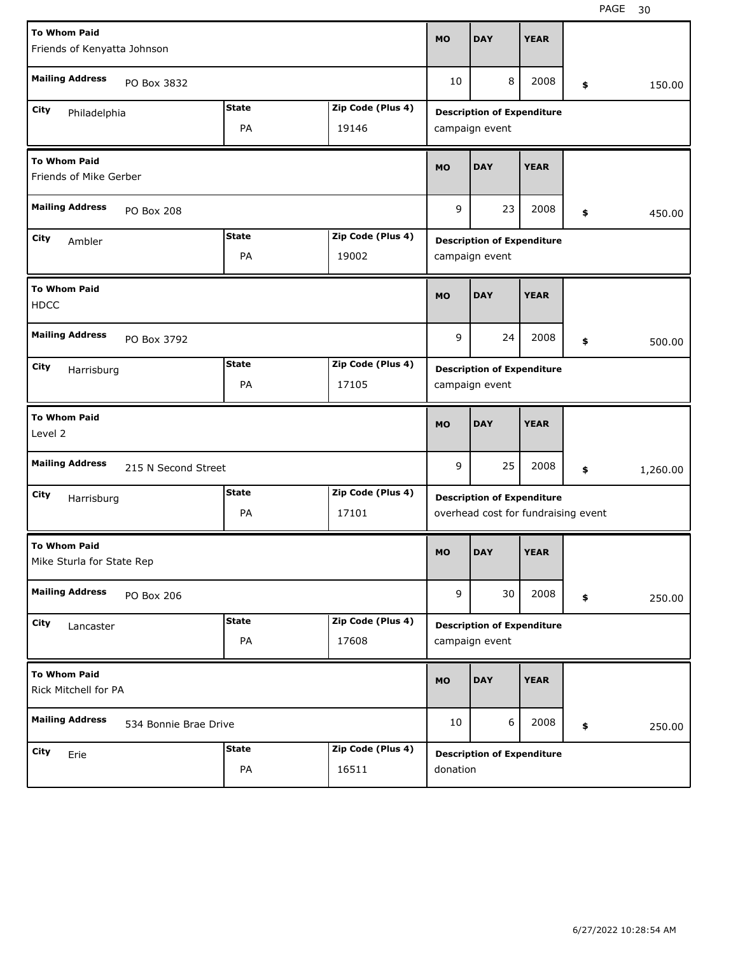| <b>To Whom Paid</b>                              |                       |              |                   | <b>MO</b> | <b>DAY</b>                          | <b>YEAR</b> |                |
|--------------------------------------------------|-----------------------|--------------|-------------------|-----------|-------------------------------------|-------------|----------------|
| Friends of Kenyatta Johnson                      |                       |              |                   |           |                                     |             |                |
| <b>Mailing Address</b>                           | PO Box 3832           |              |                   | 10        | 8                                   | 2008        | \$<br>150.00   |
| City<br>Philadelphia                             |                       | <b>State</b> | Zip Code (Plus 4) |           | <b>Description of Expenditure</b>   |             |                |
|                                                  |                       | PA           | 19146             |           | campaign event                      |             |                |
| <b>To Whom Paid</b><br>Friends of Mike Gerber    |                       |              |                   | <b>MO</b> | <b>DAY</b>                          | <b>YEAR</b> |                |
| <b>Mailing Address</b>                           | <b>PO Box 208</b>     |              |                   | 9         | 23                                  | 2008        | \$<br>450.00   |
| City<br>Ambler                                   |                       | <b>State</b> | Zip Code (Plus 4) |           | <b>Description of Expenditure</b>   |             |                |
|                                                  | PA<br>19002           |              |                   |           | campaign event                      |             |                |
| <b>To Whom Paid</b><br><b>HDCC</b>               |                       |              |                   | <b>MO</b> | <b>DAY</b>                          | <b>YEAR</b> |                |
| <b>Mailing Address</b>                           | PO Box 3792           |              |                   | 9         | 24                                  | 2008        | \$<br>500.00   |
| City<br>Harrisburg                               |                       | <b>State</b> | Zip Code (Plus 4) |           | <b>Description of Expenditure</b>   |             |                |
|                                                  |                       | PA           | 17105             |           | campaign event                      |             |                |
|                                                  |                       |              |                   |           |                                     |             |                |
| <b>To Whom Paid</b><br>Level 2                   |                       |              |                   | <b>MO</b> | <b>DAY</b>                          | <b>YEAR</b> |                |
| <b>Mailing Address</b>                           | 215 N Second Street   |              |                   | 9         | 25                                  | 2008        | \$<br>1,260.00 |
| City<br>Harrisburg                               |                       | <b>State</b> | Zip Code (Plus 4) |           | <b>Description of Expenditure</b>   |             |                |
|                                                  |                       | PA           | 17101             |           | overhead cost for fundraising event |             |                |
| <b>To Whom Paid</b><br>Mike Sturla for State Rep |                       |              |                   | <b>MO</b> | <b>DAY</b>                          | <b>YEAR</b> |                |
| <b>Mailing Address</b>                           | PO Box 206            |              |                   | 9         | 30                                  | 2008        | \$<br>250.00   |
| City<br>Lancaster                                |                       | <b>State</b> | Zip Code (Plus 4) |           | <b>Description of Expenditure</b>   |             |                |
|                                                  |                       | PA           | 17608             |           | campaign event                      |             |                |
| <b>To Whom Paid</b><br>Rick Mitchell for PA      |                       |              |                   | <b>MO</b> | <b>DAY</b>                          | <b>YEAR</b> |                |
| <b>Mailing Address</b>                           | 534 Bonnie Brae Drive |              |                   | 10        | 6                                   | 2008        | \$<br>250.00   |
| <b>City</b><br>Erie                              |                       | <b>State</b> | Zip Code (Plus 4) |           | <b>Description of Expenditure</b>   |             |                |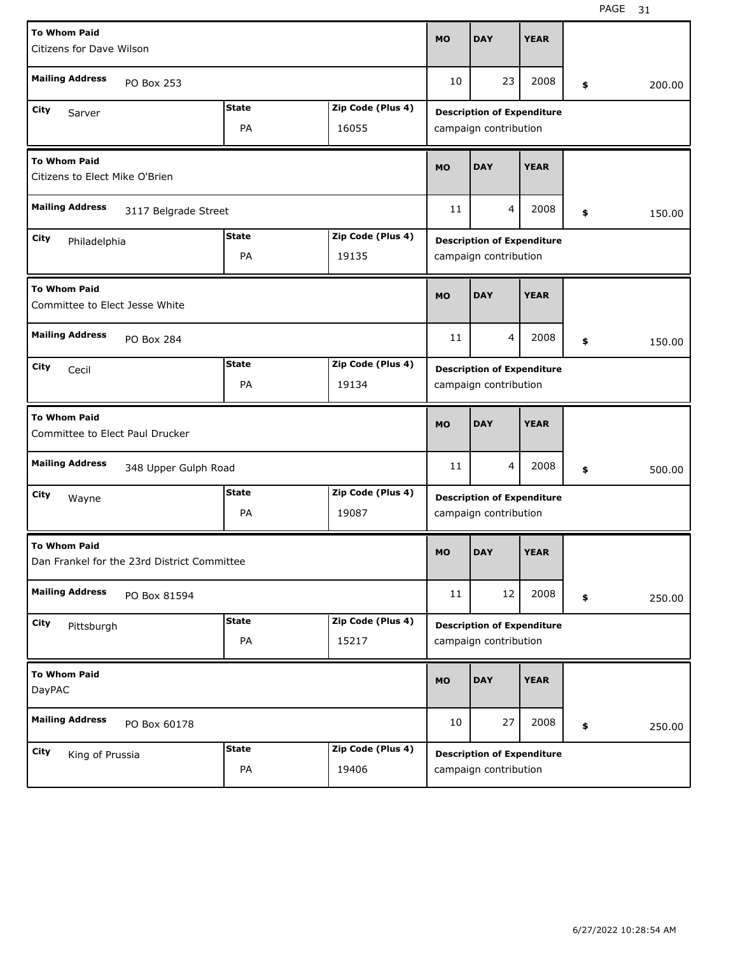| <b>To Whom Paid</b><br>Citizens for Dave Wilson        |                                             |              |                   | <b>MO</b> | <b>DAY</b>                                                 | <b>YEAR</b>           |              |
|--------------------------------------------------------|---------------------------------------------|--------------|-------------------|-----------|------------------------------------------------------------|-----------------------|--------------|
| <b>Mailing Address</b>                                 | PO Box 253                                  |              |                   | 10        | 23                                                         | 2008                  | \$<br>200.00 |
| City<br>Sarver                                         |                                             | <b>State</b> | Zip Code (Plus 4) |           | <b>Description of Expenditure</b>                          |                       |              |
|                                                        |                                             | PA           | 16055             |           | campaign contribution                                      |                       |              |
| <b>To Whom Paid</b><br>Citizens to Elect Mike O'Brien  |                                             |              |                   |           | <b>DAY</b>                                                 | <b>YEAR</b>           |              |
| <b>Mailing Address</b><br>3117 Belgrade Street         |                                             |              |                   |           | 4                                                          | 2008                  | \$<br>150.00 |
| City                                                   |                                             | <b>State</b> | Zip Code (Plus 4) |           | <b>Description of Expenditure</b>                          |                       |              |
|                                                        | Philadelphia<br>PA<br>19135                 |              |                   |           |                                                            | campaign contribution |              |
| <b>To Whom Paid</b><br>Committee to Elect Jesse White  |                                             |              |                   | <b>MO</b> | <b>DAY</b>                                                 | <b>YEAR</b>           |              |
| <b>Mailing Address</b>                                 | PO Box 284                                  |              |                   | 11        | 4                                                          | 2008                  | \$<br>150.00 |
| City<br>Cecil                                          |                                             | <b>State</b> | Zip Code (Plus 4) |           | <b>Description of Expenditure</b>                          |                       |              |
|                                                        |                                             | PA           | 19134             |           | campaign contribution                                      |                       |              |
|                                                        |                                             |              |                   |           |                                                            |                       |              |
| <b>To Whom Paid</b><br>Committee to Elect Paul Drucker |                                             |              |                   | <b>MO</b> | <b>DAY</b>                                                 | <b>YEAR</b>           |              |
| <b>Mailing Address</b>                                 | 348 Upper Gulph Road                        |              |                   | 11        | 4                                                          | 2008                  | \$<br>500.00 |
| City                                                   |                                             | <b>State</b> | Zip Code (Plus 4) |           |                                                            |                       |              |
| Wayne                                                  |                                             | PA           | 19087             |           | <b>Description of Expenditure</b><br>campaign contribution |                       |              |
| <b>To Whom Paid</b>                                    | Dan Frankel for the 23rd District Committee |              |                   | <b>MO</b> | <b>DAY</b>                                                 | <b>YEAR</b>           |              |
| <b>Mailing Address</b>                                 | PO Box 81594                                |              |                   | 11        | 12                                                         | 2008                  | \$<br>250.00 |
| City                                                   |                                             | <b>State</b> | Zip Code (Plus 4) |           | <b>Description of Expenditure</b>                          |                       |              |
| Pittsburgh                                             |                                             | PA           | 15217             |           | campaign contribution                                      |                       |              |
| <b>To Whom Paid</b><br>DayPAC                          |                                             |              |                   | <b>MO</b> | <b>DAY</b>                                                 | <b>YEAR</b>           |              |
| <b>Mailing Address</b>                                 | PO Box 60178                                |              |                   | 10        | 27                                                         | 2008                  | \$<br>250.00 |
| <b>City</b><br>King of Prussia                         |                                             | <b>State</b> | Zip Code (Plus 4) |           | <b>Description of Expenditure</b>                          |                       |              |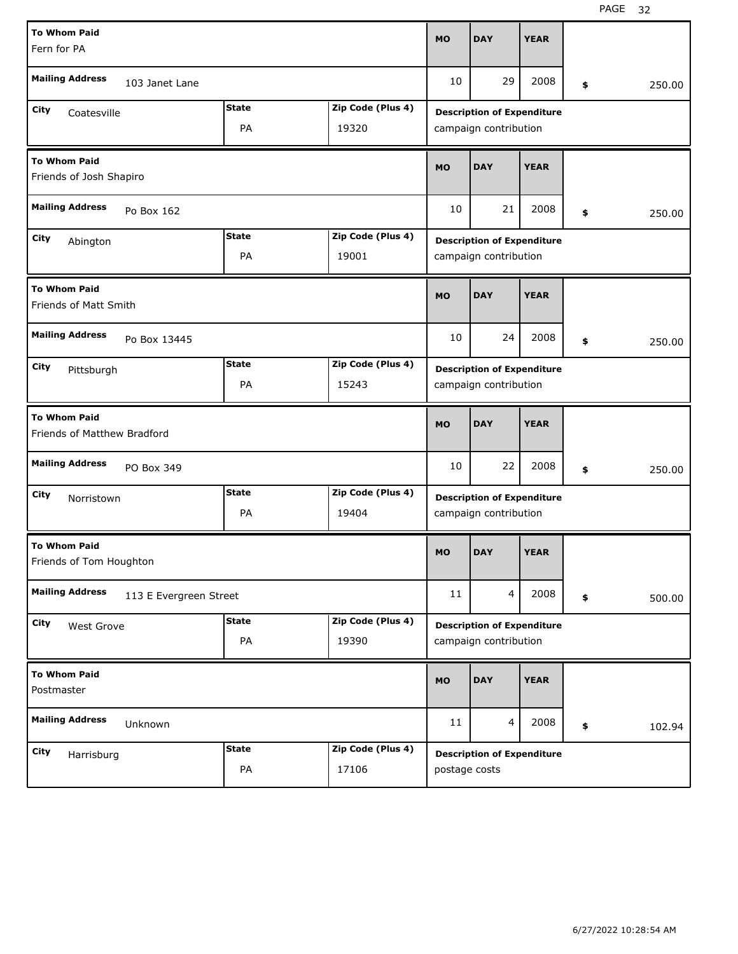| <b>To Whom Paid</b>                                |                        |              |                   | <b>MO</b> | <b>DAY</b>                        | <b>YEAR</b>           |              |
|----------------------------------------------------|------------------------|--------------|-------------------|-----------|-----------------------------------|-----------------------|--------------|
| Fern for PA                                        |                        |              |                   |           |                                   |                       |              |
| <b>Mailing Address</b>                             | 103 Janet Lane         |              |                   | 10        | 29                                | 2008                  | \$<br>250.00 |
| City<br>Coatesville                                |                        | <b>State</b> | Zip Code (Plus 4) |           | <b>Description of Expenditure</b> |                       |              |
|                                                    |                        | PA           | 19320             |           | campaign contribution             |                       |              |
| <b>To Whom Paid</b><br>Friends of Josh Shapiro     |                        |              |                   | <b>MO</b> | <b>DAY</b>                        | <b>YEAR</b>           |              |
| <b>Mailing Address</b>                             | Po Box 162             |              |                   | 10        | 21                                | 2008                  | \$<br>250.00 |
| City<br>Abington                                   |                        | <b>State</b> | Zip Code (Plus 4) |           | <b>Description of Expenditure</b> |                       |              |
|                                                    | PA<br>19001            |              |                   |           |                                   | campaign contribution |              |
| <b>To Whom Paid</b><br>Friends of Matt Smith       |                        |              |                   | <b>MO</b> | <b>DAY</b>                        | <b>YEAR</b>           |              |
| <b>Mailing Address</b>                             | Po Box 13445           |              |                   | 10        | 24                                | 2008                  | \$<br>250.00 |
| City<br>Pittsburgh                                 |                        | <b>State</b> | Zip Code (Plus 4) |           | <b>Description of Expenditure</b> |                       |              |
|                                                    |                        | PA           | 15243             |           | campaign contribution             |                       |              |
|                                                    |                        |              |                   |           |                                   |                       |              |
| <b>To Whom Paid</b><br>Friends of Matthew Bradford |                        |              |                   | <b>MO</b> | <b>DAY</b>                        | <b>YEAR</b>           |              |
| <b>Mailing Address</b>                             | PO Box 349             |              |                   | 10        | 22                                | 2008                  | \$<br>250.00 |
| City<br>Norristown                                 |                        | <b>State</b> | Zip Code (Plus 4) |           | <b>Description of Expenditure</b> |                       |              |
|                                                    |                        | PA           | 19404             |           | campaign contribution             |                       |              |
| <b>To Whom Paid</b><br>Friends of Tom Houghton     |                        |              |                   | <b>MO</b> | <b>DAY</b>                        | <b>YEAR</b>           |              |
| <b>Mailing Address</b>                             | 113 E Evergreen Street |              |                   | 11        | $\overline{4}$                    | 2008                  | \$<br>500.00 |
| City<br>West Grove                                 |                        | <b>State</b> | Zip Code (Plus 4) |           | <b>Description of Expenditure</b> |                       |              |
|                                                    |                        | PA           | 19390             |           | campaign contribution             |                       |              |
| <b>To Whom Paid</b><br>Postmaster                  |                        |              |                   | <b>MO</b> | <b>DAY</b>                        | <b>YEAR</b>           |              |
| <b>Mailing Address</b>                             | Unknown                |              |                   | 11        | $\overline{4}$                    | 2008                  | \$<br>102.94 |
| City<br>Harrisburg                                 |                        | <b>State</b> | Zip Code (Plus 4) |           | <b>Description of Expenditure</b> |                       |              |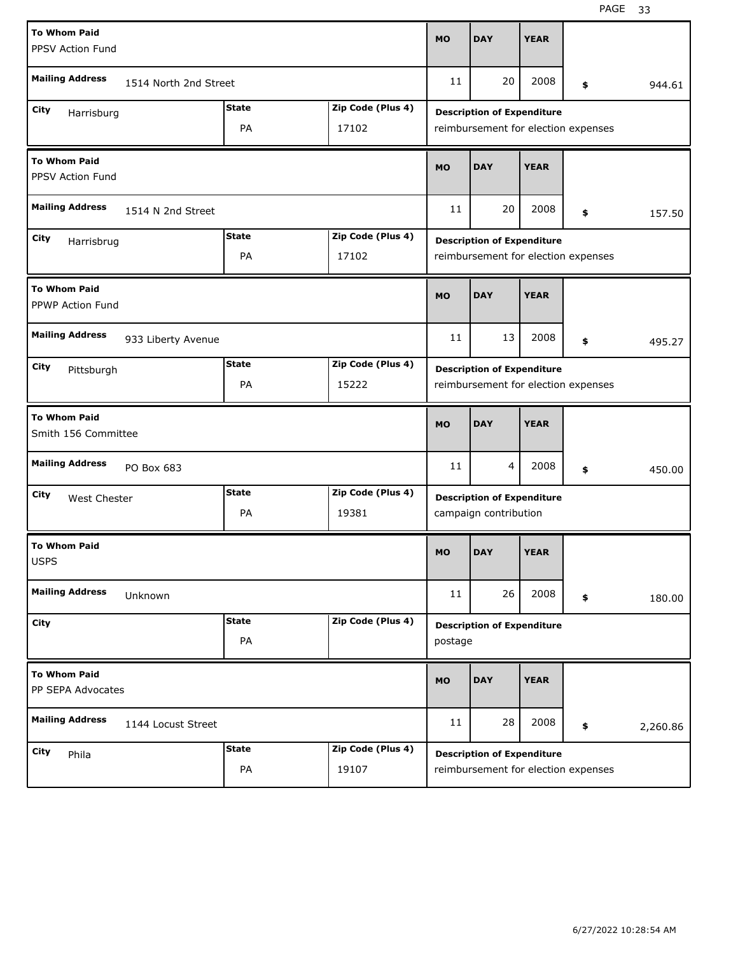| <b>To Whom Paid</b><br>PPSV Action Fund        |                                                                |                    |                            |           |                                                                          | <b>YEAR</b> |     |          |
|------------------------------------------------|----------------------------------------------------------------|--------------------|----------------------------|-----------|--------------------------------------------------------------------------|-------------|-----|----------|
| <b>Mailing Address</b>                         | 1514 North 2nd Street                                          |                    |                            | 11        | 20                                                                       | 2008        | \$. | 944.61   |
| City<br>Harrisburg                             |                                                                | <b>State</b><br>PA | Zip Code (Plus 4)<br>17102 |           | <b>Description of Expenditure</b><br>reimbursement for election expenses |             |     |          |
| <b>To Whom Paid</b><br>PPSV Action Fund        |                                                                |                    |                            |           | <b>DAY</b>                                                               | <b>YEAR</b> |     |          |
| <b>Mailing Address</b><br>1514 N 2nd Street    |                                                                |                    |                            |           | 20                                                                       | 2008        | \$  | 157.50   |
| City                                           | <b>State</b><br>Zip Code (Plus 4)<br>Harrisbrug<br>PA<br>17102 |                    |                            |           | <b>Description of Expenditure</b><br>reimbursement for election expenses |             |     |          |
| <b>To Whom Paid</b><br><b>PPWP Action Fund</b> |                                                                |                    |                            |           | <b>DAY</b>                                                               | <b>YEAR</b> |     |          |
| <b>Mailing Address</b>                         | 933 Liberty Avenue                                             |                    |                            | 11        | 13                                                                       | 2008        | \$  | 495.27   |
| City<br>Pittsburgh                             |                                                                | <b>State</b><br>PA | Zip Code (Plus 4)<br>15222 |           | <b>Description of Expenditure</b><br>reimbursement for election expenses |             |     |          |
|                                                |                                                                |                    |                            |           |                                                                          |             |     |          |
| <b>To Whom Paid</b><br>Smith 156 Committee     |                                                                |                    |                            | <b>MO</b> | <b>DAY</b>                                                               | <b>YEAR</b> |     |          |
| <b>Mailing Address</b>                         | PO Box 683                                                     |                    |                            | 11        | $\overline{4}$                                                           | 2008        | \$  | 450.00   |
| City<br>West Chester                           |                                                                | <b>State</b><br>PA | Zip Code (Plus 4)<br>19381 |           | <b>Description of Expenditure</b><br>campaign contribution               |             |     |          |
| <b>To Whom Paid</b><br><b>USPS</b>             |                                                                |                    |                            | <b>MO</b> | <b>DAY</b>                                                               | <b>YEAR</b> |     |          |
| <b>Mailing Address</b>                         | Unknown                                                        |                    |                            | 11        | 26                                                                       | 2008        | \$  | 180.00   |
| City                                           |                                                                | <b>State</b><br>PA | Zip Code (Plus 4)          | postage   | <b>Description of Expenditure</b>                                        |             |     |          |
| <b>To Whom Paid</b><br>PP SEPA Advocates       |                                                                |                    |                            | <b>MO</b> | <b>DAY</b>                                                               | <b>YEAR</b> |     |          |
| <b>Mailing Address</b>                         | 1144 Locust Street                                             |                    |                            | 11        | 28                                                                       | 2008        | \$  | 2,260.86 |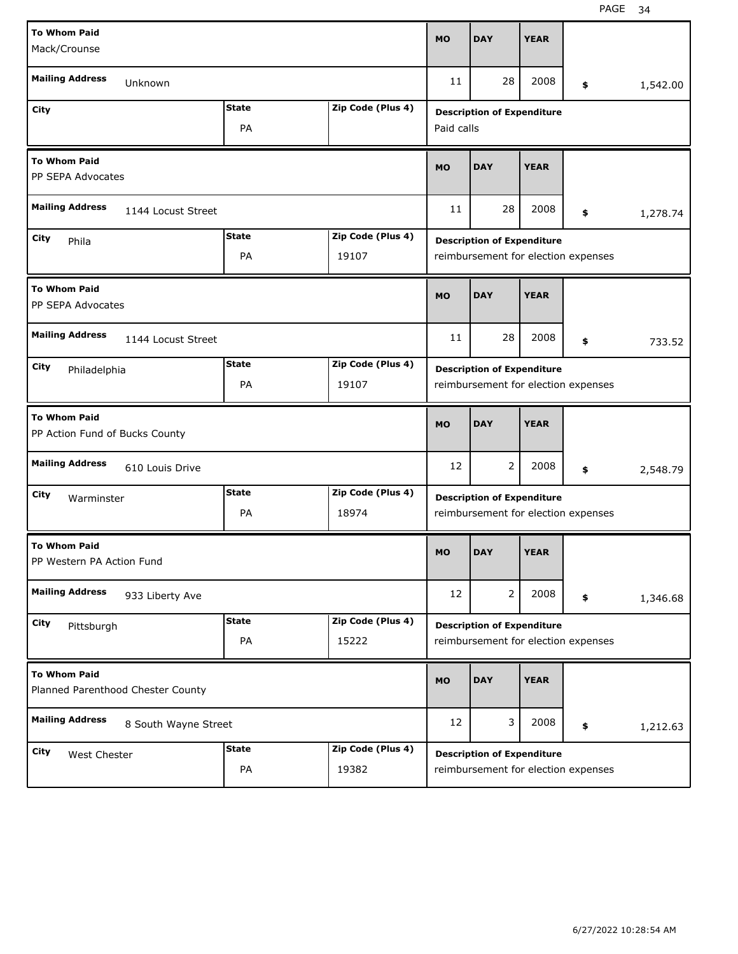| <b>To Whom Paid</b>                                      |              |                   |             |                                     |             |                                     |          |
|----------------------------------------------------------|--------------|-------------------|-------------|-------------------------------------|-------------|-------------------------------------|----------|
| Mack/Crounse                                             |              |                   | <b>MO</b>   | <b>DAY</b>                          | <b>YEAR</b> |                                     |          |
|                                                          |              |                   |             |                                     |             |                                     |          |
| <b>Mailing Address</b><br>Unknown                        |              |                   | 11          | 28                                  | 2008        | \$                                  | 1,542.00 |
| City                                                     | <b>State</b> | Zip Code (Plus 4) |             | <b>Description of Expenditure</b>   |             |                                     |          |
|                                                          | PA           |                   | Paid calls  |                                     |             |                                     |          |
| <b>To Whom Paid</b><br>PP SEPA Advocates                 | <b>MO</b>    | <b>DAY</b>        | <b>YEAR</b> |                                     |             |                                     |          |
| <b>Mailing Address</b><br>1144 Locust Street             | 11           | 28                | 2008        | \$                                  | 1,278.74    |                                     |          |
| City<br>Phila                                            | <b>State</b> | Zip Code (Plus 4) |             | <b>Description of Expenditure</b>   |             |                                     |          |
|                                                          |              |                   |             | reimbursement for election expenses |             |                                     |          |
| <b>To Whom Paid</b><br>PP SEPA Advocates                 |              |                   | <b>MO</b>   | <b>DAY</b>                          | <b>YEAR</b> |                                     |          |
| <b>Mailing Address</b><br>1144 Locust Street             |              |                   | 11          | 28                                  | 2008        | \$                                  | 733.52   |
| City<br>Philadelphia                                     | <b>State</b> | Zip Code (Plus 4) |             | <b>Description of Expenditure</b>   |             |                                     |          |
|                                                          | PA           | 19107             |             |                                     |             | reimbursement for election expenses |          |
|                                                          |              |                   |             |                                     |             |                                     |          |
| <b>To Whom Paid</b><br>PP Action Fund of Bucks County    |              |                   | <b>MO</b>   | <b>DAY</b>                          | <b>YEAR</b> |                                     |          |
| <b>Mailing Address</b><br>610 Louis Drive                |              |                   | 12          | 2                                   | 2008        | \$                                  | 2,548.79 |
|                                                          | <b>State</b> | Zip Code (Plus 4) |             |                                     |             |                                     |          |
| City<br>Warminster                                       | PA           | 18974             |             | <b>Description of Expenditure</b>   |             | reimbursement for election expenses |          |
| <b>To Whom Paid</b><br>PP Western PA Action Fund         |              |                   | <b>MO</b>   | <b>DAY</b>                          | <b>YEAR</b> |                                     |          |
| <b>Mailing Address</b><br>933 Liberty Ave                |              |                   | 12          | $\overline{2}$                      | 2008        | \$                                  | 1,346.68 |
| City                                                     | <b>State</b> | Zip Code (Plus 4) |             |                                     |             |                                     |          |
| Pittsburgh                                               | PA           | 15222             |             | <b>Description of Expenditure</b>   |             | reimbursement for election expenses |          |
| <b>To Whom Paid</b><br>Planned Parenthood Chester County |              |                   | <b>MO</b>   | <b>DAY</b>                          | <b>YEAR</b> |                                     |          |
| <b>Mailing Address</b><br>8 South Wayne Street           |              |                   | 12          | 3                                   | 2008        | \$                                  | 1,212.63 |
| City<br>West Chester                                     | <b>State</b> | Zip Code (Plus 4) |             | <b>Description of Expenditure</b>   |             |                                     |          |